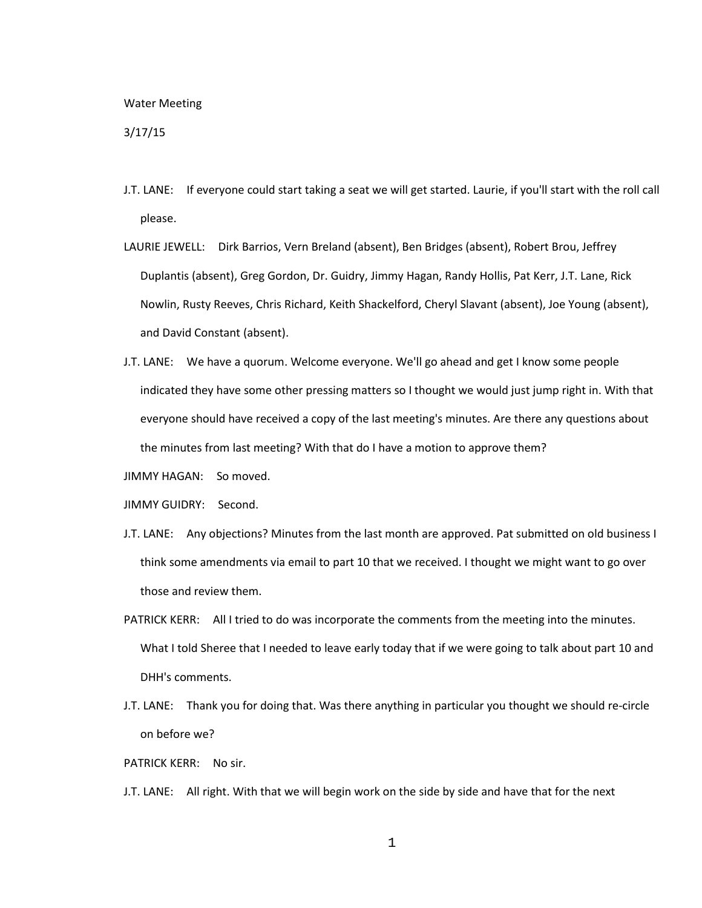## Water Meeting

## 3/17/15

- J.T. LANE: If everyone could start taking a seat we will get started. Laurie, if you'll start with the roll call please.
- LAURIE JEWELL: Dirk Barrios, Vern Breland (absent), Ben Bridges (absent), Robert Brou, Jeffrey Duplantis (absent), Greg Gordon, Dr. Guidry, Jimmy Hagan, Randy Hollis, Pat Kerr, J.T. Lane, Rick Nowlin, Rusty Reeves, Chris Richard, Keith Shackelford, Cheryl Slavant (absent), Joe Young (absent), and David Constant (absent).
- J.T. LANE: We have a quorum. Welcome everyone. We'll go ahead and get I know some people indicated they have some other pressing matters so I thought we would just jump right in. With that everyone should have received a copy of the last meeting's minutes. Are there any questions about the minutes from last meeting? With that do I have a motion to approve them?
- JIMMY HAGAN: So moved.
- JIMMY GUIDRY: Second.
- J.T. LANE: Any objections? Minutes from the last month are approved. Pat submitted on old business I think some amendments via email to part 10 that we received. I thought we might want to go over those and review them.
- PATRICK KERR: All I tried to do was incorporate the comments from the meeting into the minutes. What I told Sheree that I needed to leave early today that if we were going to talk about part 10 and DHH's comments.
- J.T. LANE: Thank you for doing that. Was there anything in particular you thought we should re-circle on before we?
- PATRICK KERR: No sir.
- J.T. LANE: All right. With that we will begin work on the side by side and have that for the next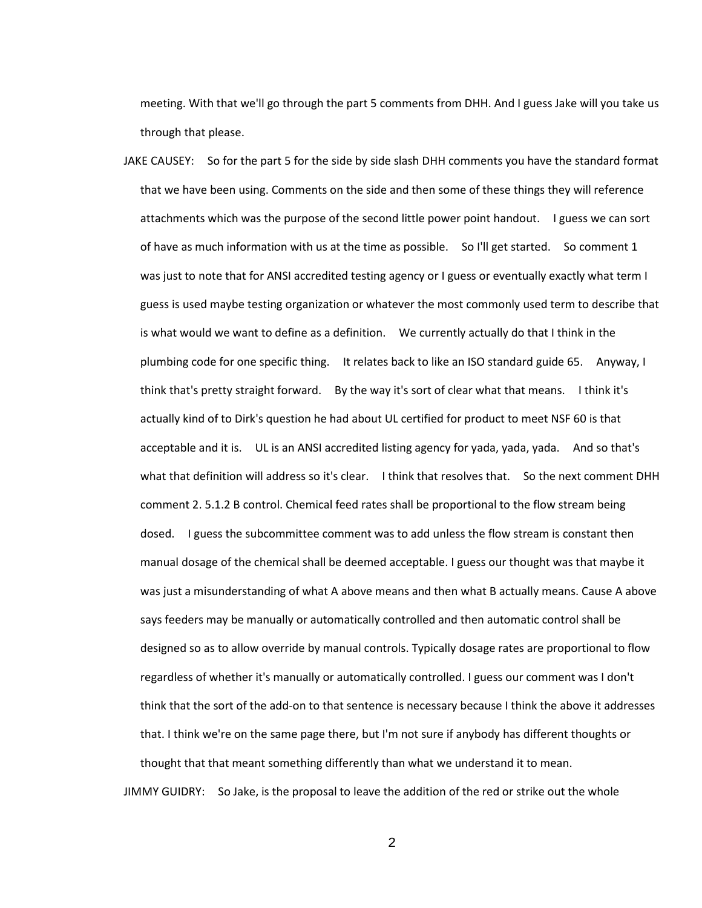meeting. With that we'll go through the part 5 comments from DHH. And I guess Jake will you take us through that please.

JAKE CAUSEY: So for the part 5 for the side by side slash DHH comments you have the standard format that we have been using. Comments on the side and then some of these things they will reference attachments which was the purpose of the second little power point handout. I guess we can sort of have as much information with us at the time as possible. So I'll get started. So comment 1 was just to note that for ANSI accredited testing agency or I guess or eventually exactly what term I guess is used maybe testing organization or whatever the most commonly used term to describe that is what would we want to define as a definition. We currently actually do that I think in the plumbing code for one specific thing. It relates back to like an ISO standard guide 65. Anyway, I think that's pretty straight forward. By the way it's sort of clear what that means. I think it's actually kind of to Dirk's question he had about UL certified for product to meet NSF 60 is that acceptable and it is. UL is an ANSI accredited listing agency for yada, yada, yada. And so that's what that definition will address so it's clear. I think that resolves that. So the next comment DHH comment 2. 5.1.2 B control. Chemical feed rates shall be proportional to the flow stream being dosed. I guess the subcommittee comment was to add unless the flow stream is constant then manual dosage of the chemical shall be deemed acceptable. I guess our thought was that maybe it was just a misunderstanding of what A above means and then what B actually means. Cause A above says feeders may be manually or automatically controlled and then automatic control shall be designed so as to allow override by manual controls. Typically dosage rates are proportional to flow regardless of whether it's manually or automatically controlled. I guess our comment was I don't think that the sort of the add-on to that sentence is necessary because I think the above it addresses that. I think we're on the same page there, but I'm not sure if anybody has different thoughts or thought that that meant something differently than what we understand it to mean.

JIMMY GUIDRY: So Jake, is the proposal to leave the addition of the red or strike out the whole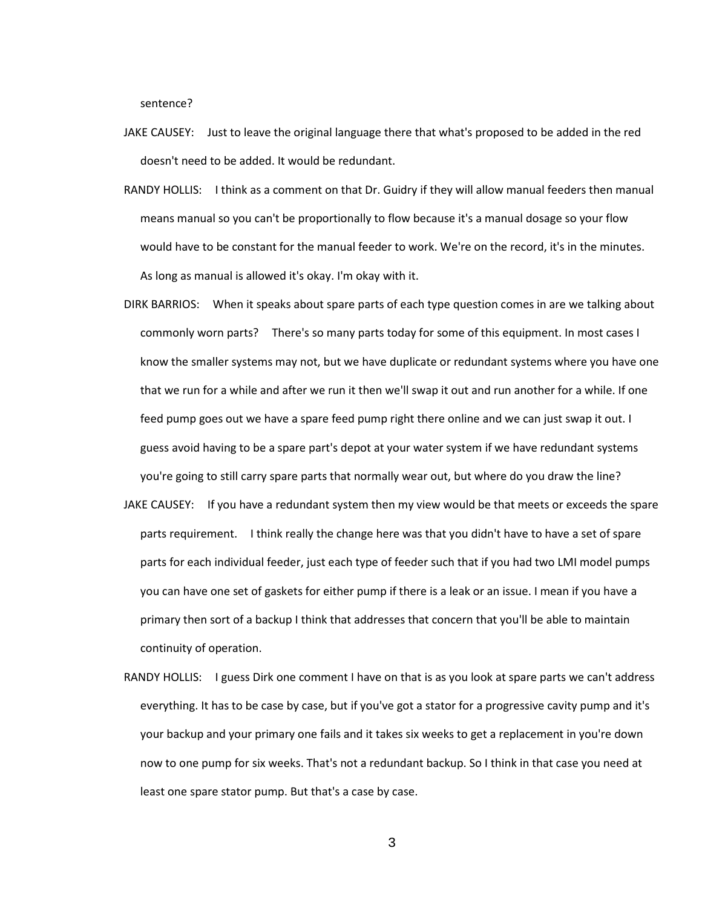sentence?

- JAKE CAUSEY: Just to leave the original language there that what's proposed to be added in the red doesn't need to be added. It would be redundant.
- RANDY HOLLIS: I think as a comment on that Dr. Guidry if they will allow manual feeders then manual means manual so you can't be proportionally to flow because it's a manual dosage so your flow would have to be constant for the manual feeder to work. We're on the record, it's in the minutes. As long as manual is allowed it's okay. I'm okay with it.
- DIRK BARRIOS: When it speaks about spare parts of each type question comes in are we talking about commonly worn parts? There's so many parts today for some of this equipment. In most cases I know the smaller systems may not, but we have duplicate or redundant systems where you have one that we run for a while and after we run it then we'll swap it out and run another for a while. If one feed pump goes out we have a spare feed pump right there online and we can just swap it out. I guess avoid having to be a spare part's depot at your water system if we have redundant systems you're going to still carry spare parts that normally wear out, but where do you draw the line?
- JAKE CAUSEY: If you have a redundant system then my view would be that meets or exceeds the spare parts requirement. I think really the change here was that you didn't have to have a set of spare parts for each individual feeder, just each type of feeder such that if you had two LMI model pumps you can have one set of gaskets for either pump if there is a leak or an issue. I mean if you have a primary then sort of a backup I think that addresses that concern that you'll be able to maintain continuity of operation.
- RANDY HOLLIS: I guess Dirk one comment I have on that is as you look at spare parts we can't address everything. It has to be case by case, but if you've got a stator for a progressive cavity pump and it's your backup and your primary one fails and it takes six weeks to get a replacement in you're down now to one pump for six weeks. That's not a redundant backup. So I think in that case you need at least one spare stator pump. But that's a case by case.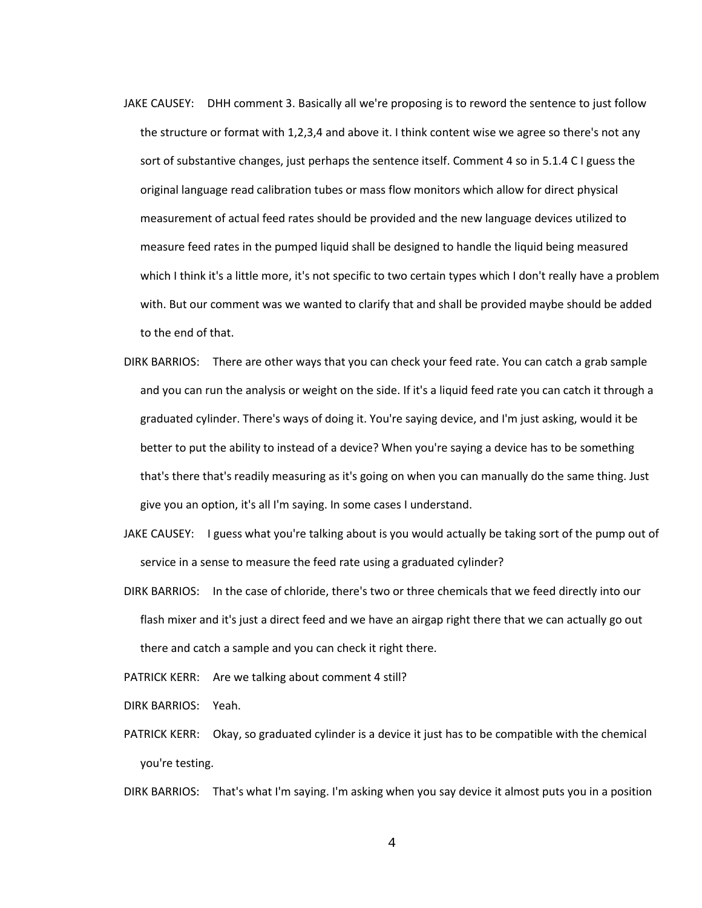- JAKE CAUSEY: DHH comment 3. Basically all we're proposing is to reword the sentence to just follow the structure or format with 1,2,3,4 and above it. I think content wise we agree so there's not any sort of substantive changes, just perhaps the sentence itself. Comment 4 so in 5.1.4 C I guess the original language read calibration tubes or mass flow monitors which allow for direct physical measurement of actual feed rates should be provided and the new language devices utilized to measure feed rates in the pumped liquid shall be designed to handle the liquid being measured which I think it's a little more, it's not specific to two certain types which I don't really have a problem with. But our comment was we wanted to clarify that and shall be provided maybe should be added to the end of that.
- DIRK BARRIOS: There are other ways that you can check your feed rate. You can catch a grab sample and you can run the analysis or weight on the side. If it's a liquid feed rate you can catch it through a graduated cylinder. There's ways of doing it. You're saying device, and I'm just asking, would it be better to put the ability to instead of a device? When you're saying a device has to be something that's there that's readily measuring as it's going on when you can manually do the same thing. Just give you an option, it's all I'm saying. In some cases I understand.
- JAKE CAUSEY: I guess what you're talking about is you would actually be taking sort of the pump out of service in a sense to measure the feed rate using a graduated cylinder?
- DIRK BARRIOS: In the case of chloride, there's two or three chemicals that we feed directly into our flash mixer and it's just a direct feed and we have an airgap right there that we can actually go out there and catch a sample and you can check it right there.

PATRICK KERR: Are we talking about comment 4 still?

DIRK BARRIOS: Yeah.

PATRICK KERR: Okay, so graduated cylinder is a device it just has to be compatible with the chemical you're testing.

DIRK BARRIOS: That's what I'm saying. I'm asking when you say device it almost puts you in a position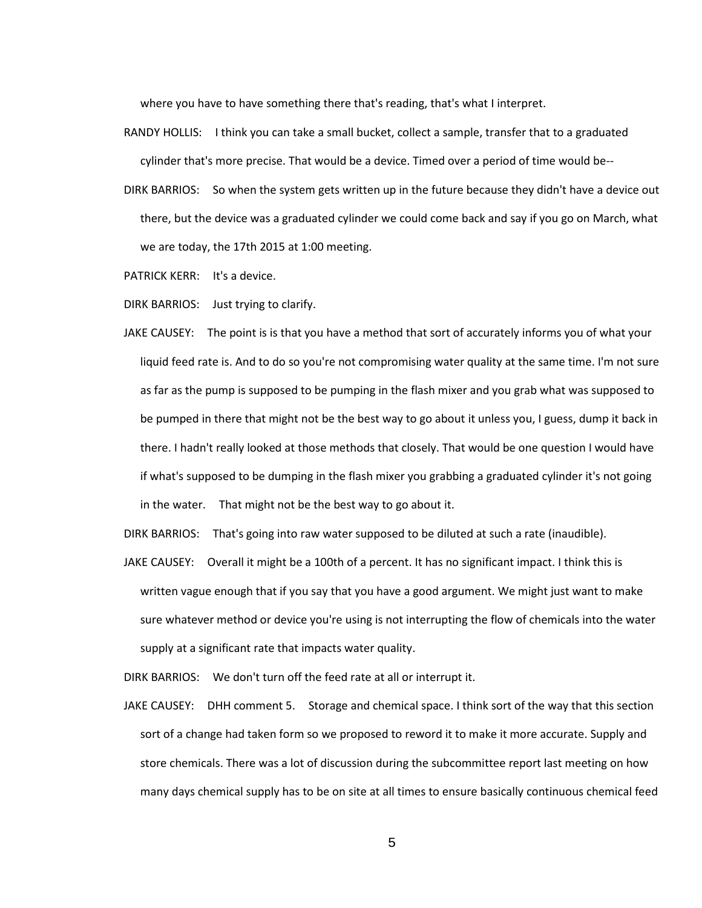where you have to have something there that's reading, that's what I interpret.

- RANDY HOLLIS: I think you can take a small bucket, collect a sample, transfer that to a graduated cylinder that's more precise. That would be a device. Timed over a period of time would be--
- DIRK BARRIOS: So when the system gets written up in the future because they didn't have a device out there, but the device was a graduated cylinder we could come back and say if you go on March, what we are today, the 17th 2015 at 1:00 meeting.
- PATRICK KERR: It's a device.
- DIRK BARRIOS: Just trying to clarify.
- JAKE CAUSEY: The point is is that you have a method that sort of accurately informs you of what your liquid feed rate is. And to do so you're not compromising water quality at the same time. I'm not sure as far as the pump is supposed to be pumping in the flash mixer and you grab what was supposed to be pumped in there that might not be the best way to go about it unless you, I guess, dump it back in there. I hadn't really looked at those methods that closely. That would be one question I would have if what's supposed to be dumping in the flash mixer you grabbing a graduated cylinder it's not going in the water. That might not be the best way to go about it.

DIRK BARRIOS: That's going into raw water supposed to be diluted at such a rate (inaudible).

JAKE CAUSEY: Overall it might be a 100th of a percent. It has no significant impact. I think this is written vague enough that if you say that you have a good argument. We might just want to make sure whatever method or device you're using is not interrupting the flow of chemicals into the water supply at a significant rate that impacts water quality.

DIRK BARRIOS: We don't turn off the feed rate at all or interrupt it.

JAKE CAUSEY: DHH comment 5. Storage and chemical space. I think sort of the way that this section sort of a change had taken form so we proposed to reword it to make it more accurate. Supply and store chemicals. There was a lot of discussion during the subcommittee report last meeting on how many days chemical supply has to be on site at all times to ensure basically continuous chemical feed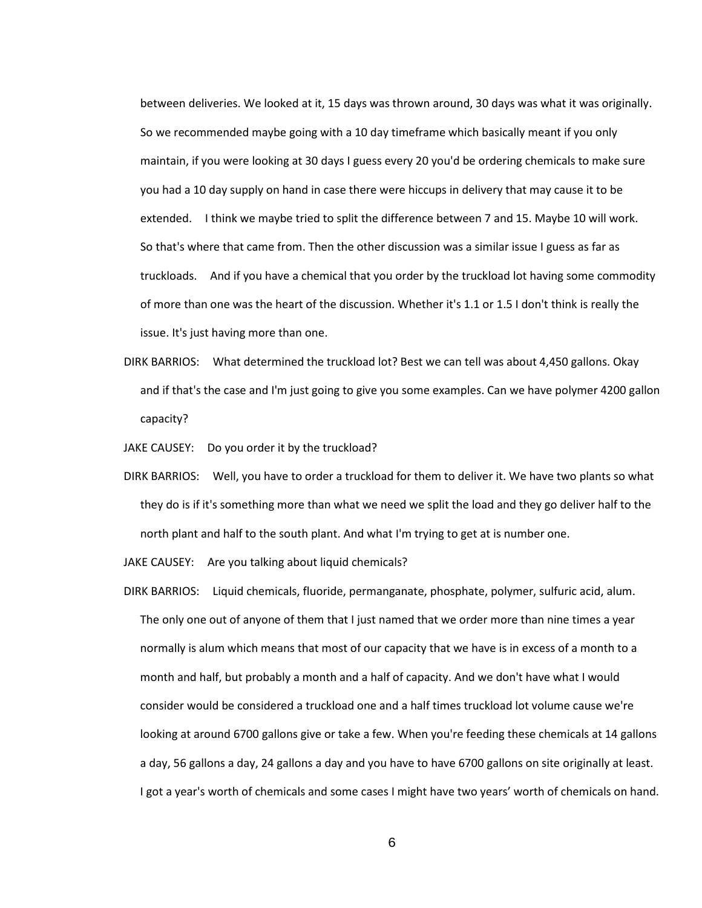between deliveries. We looked at it, 15 days was thrown around, 30 days was what it was originally. So we recommended maybe going with a 10 day timeframe which basically meant if you only maintain, if you were looking at 30 days I guess every 20 you'd be ordering chemicals to make sure you had a 10 day supply on hand in case there were hiccups in delivery that may cause it to be extended. I think we maybe tried to split the difference between 7 and 15. Maybe 10 will work. So that's where that came from. Then the other discussion was a similar issue I guess as far as truckloads. And if you have a chemical that you order by the truckload lot having some commodity of more than one was the heart of the discussion. Whether it's 1.1 or 1.5 I don't think is really the issue. It's just having more than one.

- DIRK BARRIOS: What determined the truckload lot? Best we can tell was about 4,450 gallons. Okay and if that's the case and I'm just going to give you some examples. Can we have polymer 4200 gallon capacity?
- JAKE CAUSEY: Do you order it by the truckload?
- DIRK BARRIOS: Well, you have to order a truckload for them to deliver it. We have two plants so what they do is if it's something more than what we need we split the load and they go deliver half to the north plant and half to the south plant. And what I'm trying to get at is number one.

JAKE CAUSEY: Are you talking about liquid chemicals?

DIRK BARRIOS: Liquid chemicals, fluoride, permanganate, phosphate, polymer, sulfuric acid, alum. The only one out of anyone of them that I just named that we order more than nine times a year normally is alum which means that most of our capacity that we have is in excess of a month to a month and half, but probably a month and a half of capacity. And we don't have what I would consider would be considered a truckload one and a half times truckload lot volume cause we're looking at around 6700 gallons give or take a few. When you're feeding these chemicals at 14 gallons a day, 56 gallons a day, 24 gallons a day and you have to have 6700 gallons on site originally at least. I got a year's worth of chemicals and some cases I might have two years' worth of chemicals on hand.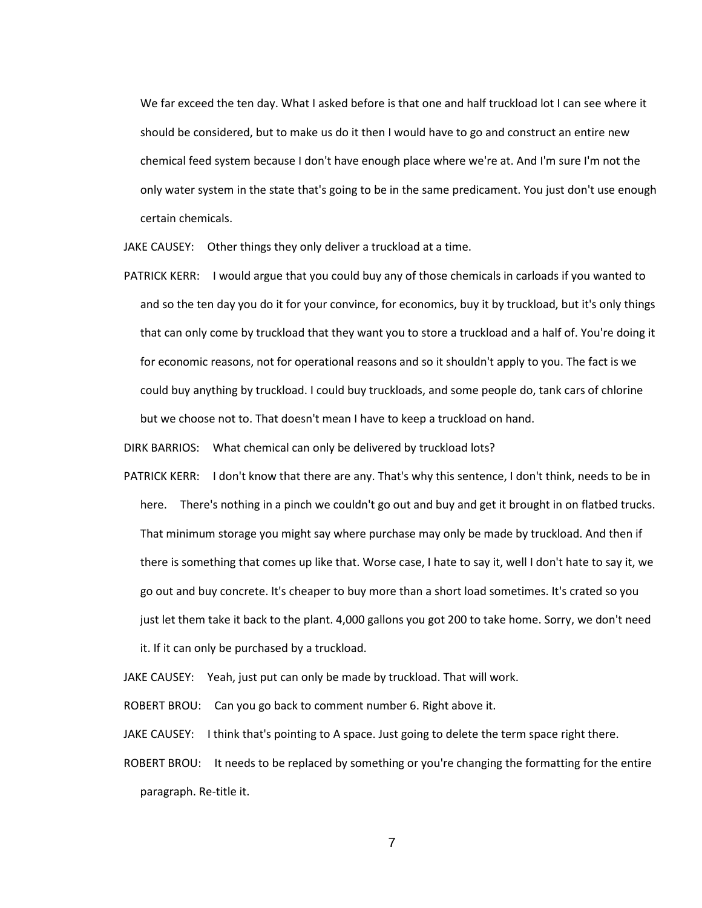We far exceed the ten day. What I asked before is that one and half truckload lot I can see where it should be considered, but to make us do it then I would have to go and construct an entire new chemical feed system because I don't have enough place where we're at. And I'm sure I'm not the only water system in the state that's going to be in the same predicament. You just don't use enough certain chemicals.

JAKE CAUSEY: Other things they only deliver a truckload at a time.

PATRICK KERR: I would argue that you could buy any of those chemicals in carloads if you wanted to and so the ten day you do it for your convince, for economics, buy it by truckload, but it's only things that can only come by truckload that they want you to store a truckload and a half of. You're doing it for economic reasons, not for operational reasons and so it shouldn't apply to you. The fact is we could buy anything by truckload. I could buy truckloads, and some people do, tank cars of chlorine but we choose not to. That doesn't mean I have to keep a truckload on hand.

DIRK BARRIOS: What chemical can only be delivered by truckload lots?

PATRICK KERR: I don't know that there are any. That's why this sentence, I don't think, needs to be in here. There's nothing in a pinch we couldn't go out and buy and get it brought in on flatbed trucks. That minimum storage you might say where purchase may only be made by truckload. And then if there is something that comes up like that. Worse case, I hate to say it, well I don't hate to say it, we go out and buy concrete. It's cheaper to buy more than a short load sometimes. It's crated so you just let them take it back to the plant. 4,000 gallons you got 200 to take home. Sorry, we don't need it. If it can only be purchased by a truckload.

JAKE CAUSEY: Yeah, just put can only be made by truckload. That will work.

ROBERT BROU: Can you go back to comment number 6. Right above it.

JAKE CAUSEY: I think that's pointing to A space. Just going to delete the term space right there.

ROBERT BROU: It needs to be replaced by something or you're changing the formatting for the entire paragraph. Re-title it.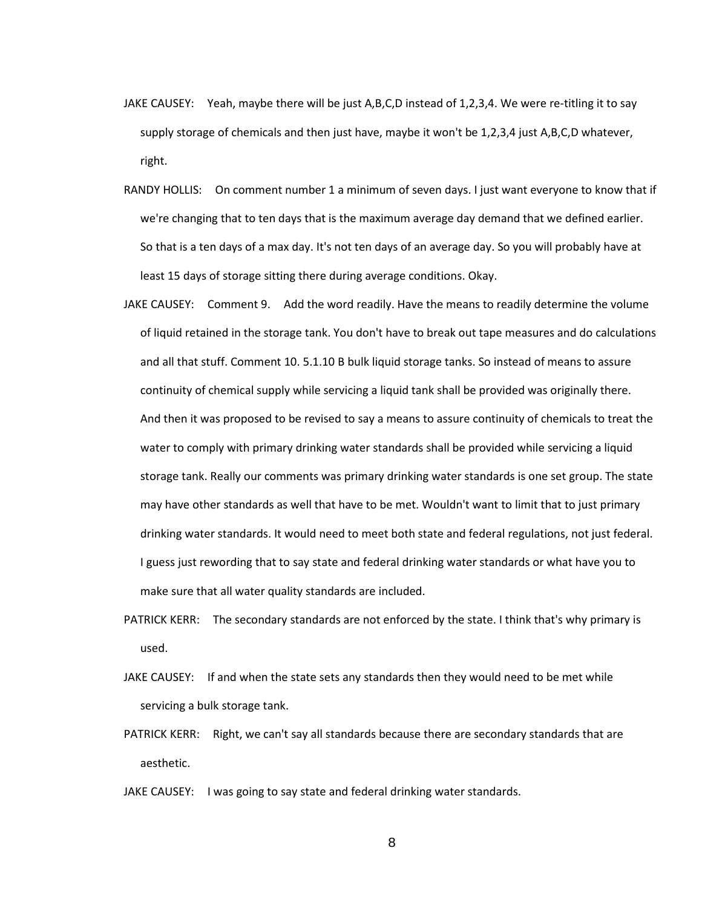- JAKE CAUSEY: Yeah, maybe there will be just A,B,C,D instead of 1,2,3,4. We were re-titling it to say supply storage of chemicals and then just have, maybe it won't be 1,2,3,4 just A,B,C,D whatever, right.
- RANDY HOLLIS: On comment number 1 a minimum of seven days. I just want everyone to know that if we're changing that to ten days that is the maximum average day demand that we defined earlier. So that is a ten days of a max day. It's not ten days of an average day. So you will probably have at least 15 days of storage sitting there during average conditions. Okay.
- JAKE CAUSEY: Comment 9. Add the word readily. Have the means to readily determine the volume of liquid retained in the storage tank. You don't have to break out tape measures and do calculations and all that stuff. Comment 10. 5.1.10 B bulk liquid storage tanks. So instead of means to assure continuity of chemical supply while servicing a liquid tank shall be provided was originally there. And then it was proposed to be revised to say a means to assure continuity of chemicals to treat the water to comply with primary drinking water standards shall be provided while servicing a liquid storage tank. Really our comments was primary drinking water standards is one set group. The state may have other standards as well that have to be met. Wouldn't want to limit that to just primary drinking water standards. It would need to meet both state and federal regulations, not just federal. I guess just rewording that to say state and federal drinking water standards or what have you to make sure that all water quality standards are included.
- PATRICK KERR: The secondary standards are not enforced by the state. I think that's why primary is used.
- JAKE CAUSEY: If and when the state sets any standards then they would need to be met while servicing a bulk storage tank.
- PATRICK KERR: Right, we can't say all standards because there are secondary standards that are aesthetic.
- JAKE CAUSEY: I was going to say state and federal drinking water standards.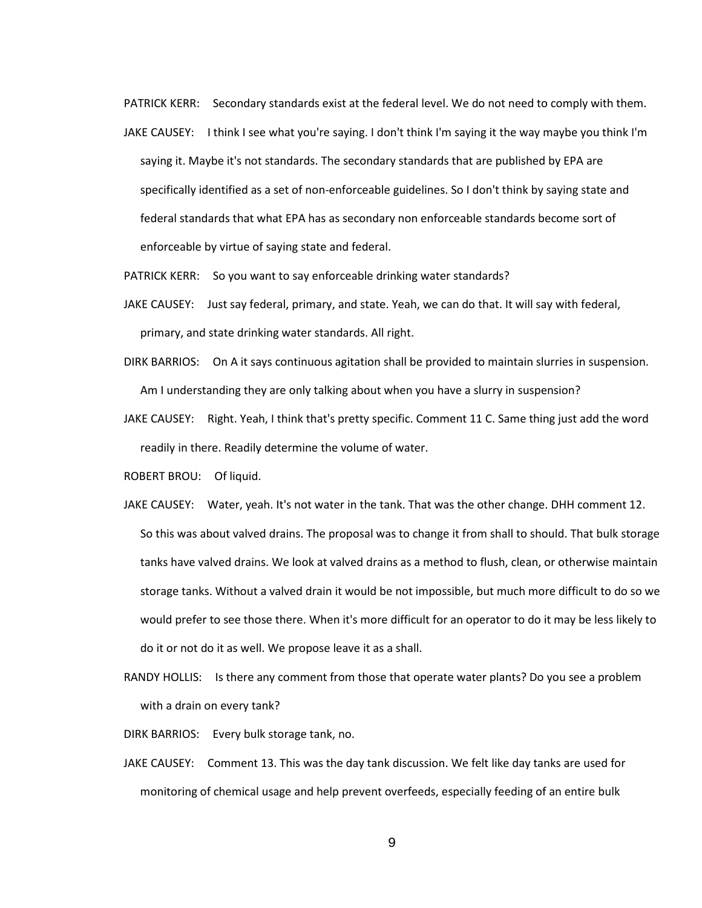PATRICK KERR: Secondary standards exist at the federal level. We do not need to comply with them.

- JAKE CAUSEY: I think I see what you're saying. I don't think I'm saying it the way maybe you think I'm saying it. Maybe it's not standards. The secondary standards that are published by EPA are specifically identified as a set of non-enforceable guidelines. So I don't think by saying state and federal standards that what EPA has as secondary non enforceable standards become sort of enforceable by virtue of saying state and federal.
- PATRICK KERR: So you want to say enforceable drinking water standards?
- JAKE CAUSEY: Just say federal, primary, and state. Yeah, we can do that. It will say with federal, primary, and state drinking water standards. All right.
- DIRK BARRIOS: On A it says continuous agitation shall be provided to maintain slurries in suspension. Am I understanding they are only talking about when you have a slurry in suspension?
- JAKE CAUSEY: Right. Yeah, I think that's pretty specific. Comment 11 C. Same thing just add the word readily in there. Readily determine the volume of water.
- ROBERT BROU: Of liquid.
- JAKE CAUSEY: Water, yeah. It's not water in the tank. That was the other change. DHH comment 12. So this was about valved drains. The proposal was to change it from shall to should. That bulk storage tanks have valved drains. We look at valved drains as a method to flush, clean, or otherwise maintain storage tanks. Without a valved drain it would be not impossible, but much more difficult to do so we would prefer to see those there. When it's more difficult for an operator to do it may be less likely to do it or not do it as well. We propose leave it as a shall.
- RANDY HOLLIS: Is there any comment from those that operate water plants? Do you see a problem with a drain on every tank?
- DIRK BARRIOS: Every bulk storage tank, no.
- JAKE CAUSEY: Comment 13. This was the day tank discussion. We felt like day tanks are used for monitoring of chemical usage and help prevent overfeeds, especially feeding of an entire bulk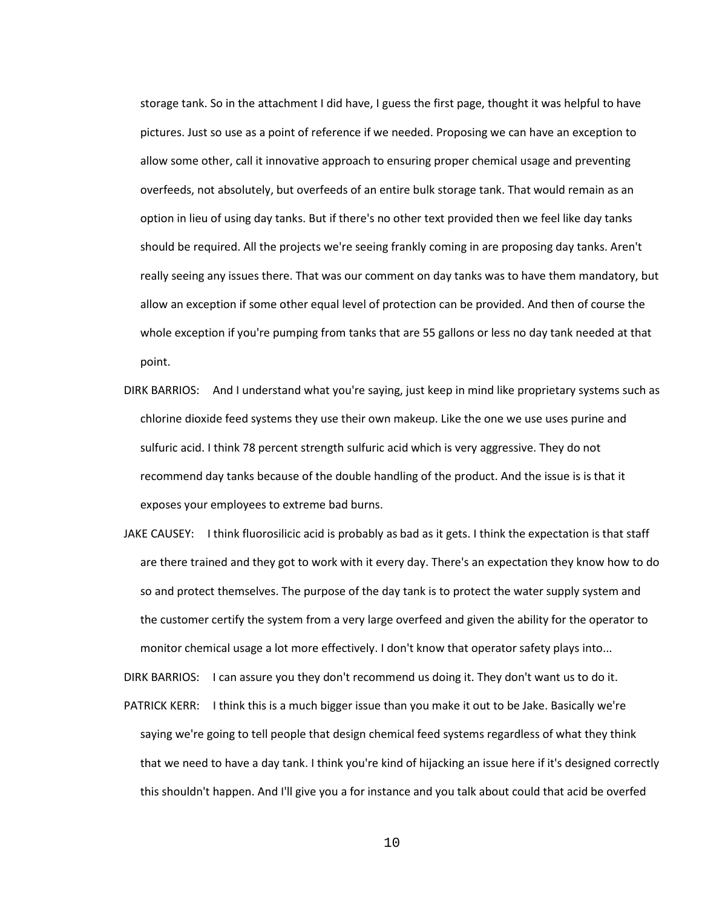storage tank. So in the attachment I did have, I guess the first page, thought it was helpful to have pictures. Just so use as a point of reference if we needed. Proposing we can have an exception to allow some other, call it innovative approach to ensuring proper chemical usage and preventing overfeeds, not absolutely, but overfeeds of an entire bulk storage tank. That would remain as an option in lieu of using day tanks. But if there's no other text provided then we feel like day tanks should be required. All the projects we're seeing frankly coming in are proposing day tanks. Aren't really seeing any issues there. That was our comment on day tanks was to have them mandatory, but allow an exception if some other equal level of protection can be provided. And then of course the whole exception if you're pumping from tanks that are 55 gallons or less no day tank needed at that point.

- DIRK BARRIOS: And I understand what you're saying, just keep in mind like proprietary systems such as chlorine dioxide feed systems they use their own makeup. Like the one we use uses purine and sulfuric acid. I think 78 percent strength sulfuric acid which is very aggressive. They do not recommend day tanks because of the double handling of the product. And the issue is is that it exposes your employees to extreme bad burns.
- JAKE CAUSEY: I think fluorosilicic acid is probably as bad as it gets. I think the expectation is that staff are there trained and they got to work with it every day. There's an expectation they know how to do so and protect themselves. The purpose of the day tank is to protect the water supply system and the customer certify the system from a very large overfeed and given the ability for the operator to monitor chemical usage a lot more effectively. I don't know that operator safety plays into...

DIRK BARRIOS: I can assure you they don't recommend us doing it. They don't want us to do it.

PATRICK KERR: I think this is a much bigger issue than you make it out to be Jake. Basically we're saying we're going to tell people that design chemical feed systems regardless of what they think that we need to have a day tank. I think you're kind of hijacking an issue here if it's designed correctly this shouldn't happen. And I'll give you a for instance and you talk about could that acid be overfed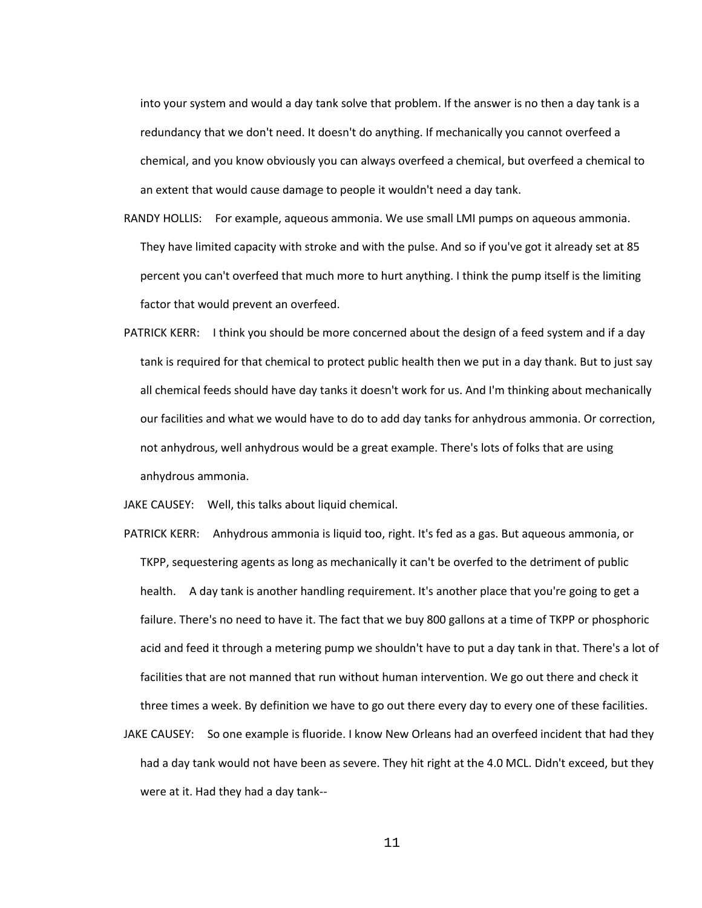into your system and would a day tank solve that problem. If the answer is no then a day tank is a redundancy that we don't need. It doesn't do anything. If mechanically you cannot overfeed a chemical, and you know obviously you can always overfeed a chemical, but overfeed a chemical to an extent that would cause damage to people it wouldn't need a day tank.

- RANDY HOLLIS: For example, aqueous ammonia. We use small LMI pumps on aqueous ammonia. They have limited capacity with stroke and with the pulse. And so if you've got it already set at 85 percent you can't overfeed that much more to hurt anything. I think the pump itself is the limiting factor that would prevent an overfeed.
- PATRICK KERR: I think you should be more concerned about the design of a feed system and if a day tank is required for that chemical to protect public health then we put in a day thank. But to just say all chemical feeds should have day tanks it doesn't work for us. And I'm thinking about mechanically our facilities and what we would have to do to add day tanks for anhydrous ammonia. Or correction, not anhydrous, well anhydrous would be a great example. There's lots of folks that are using anhydrous ammonia.

JAKE CAUSEY: Well, this talks about liquid chemical.

- PATRICK KERR: Anhydrous ammonia is liquid too, right. It's fed as a gas. But aqueous ammonia, or TKPP, sequestering agents as long as mechanically it can't be overfed to the detriment of public health. A day tank is another handling requirement. It's another place that you're going to get a failure. There's no need to have it. The fact that we buy 800 gallons at a time of TKPP or phosphoric acid and feed it through a metering pump we shouldn't have to put a day tank in that. There's a lot of facilities that are not manned that run without human intervention. We go out there and check it three times a week. By definition we have to go out there every day to every one of these facilities.
- JAKE CAUSEY: So one example is fluoride. I know New Orleans had an overfeed incident that had they had a day tank would not have been as severe. They hit right at the 4.0 MCL. Didn't exceed, but they were at it. Had they had a day tank--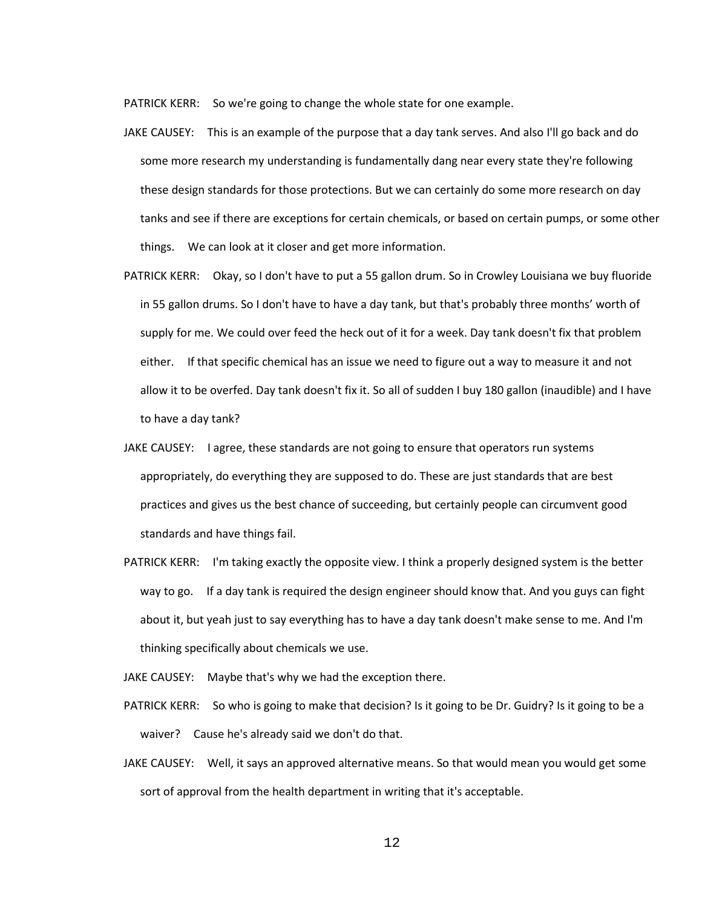PATRICK KERR: So we're going to change the whole state for one example.

- JAKE CAUSEY: This is an example of the purpose that a day tank serves. And also I'll go back and do some more research my understanding is fundamentally dang near every state they're following these design standards for those protections. But we can certainly do some more research on day tanks and see if there are exceptions for certain chemicals, or based on certain pumps, or some other things. We can look at it closer and get more information.
- PATRICK KERR: Okay, so I don't have to put a 55 gallon drum. So in Crowley Louisiana we buy fluoride in 55 gallon drums. So I don't have to have a day tank, but that's probably three months' worth of supply for me. We could over feed the heck out of it for a week. Day tank doesn't fix that problem either. If that specific chemical has an issue we need to figure out a way to measure it and not allow it to be overfed. Day tank doesn't fix it. So all of sudden I buy 180 gallon (inaudible) and I have to have a day tank?
- JAKE CAUSEY: I agree, these standards are not going to ensure that operators run systems appropriately, do everything they are supposed to do. These are just standards that are best practices and gives us the best chance of succeeding, but certainly people can circumvent good standards and have things fail.
- PATRICK KERR: I'm taking exactly the opposite view. I think a properly designed system is the better way to go. If a day tank is required the design engineer should know that. And you guys can fight about it, but yeah just to say everything has to have a day tank doesn't make sense to me. And I'm thinking specifically about chemicals we use.
- JAKE CAUSEY: Maybe that's why we had the exception there.
- PATRICK KERR: So who is going to make that decision? Is it going to be Dr. Guidry? Is it going to be a waiver? Cause he's already said we don't do that.
- JAKE CAUSEY: Well, it says an approved alternative means. So that would mean you would get some sort of approval from the health department in writing that it's acceptable.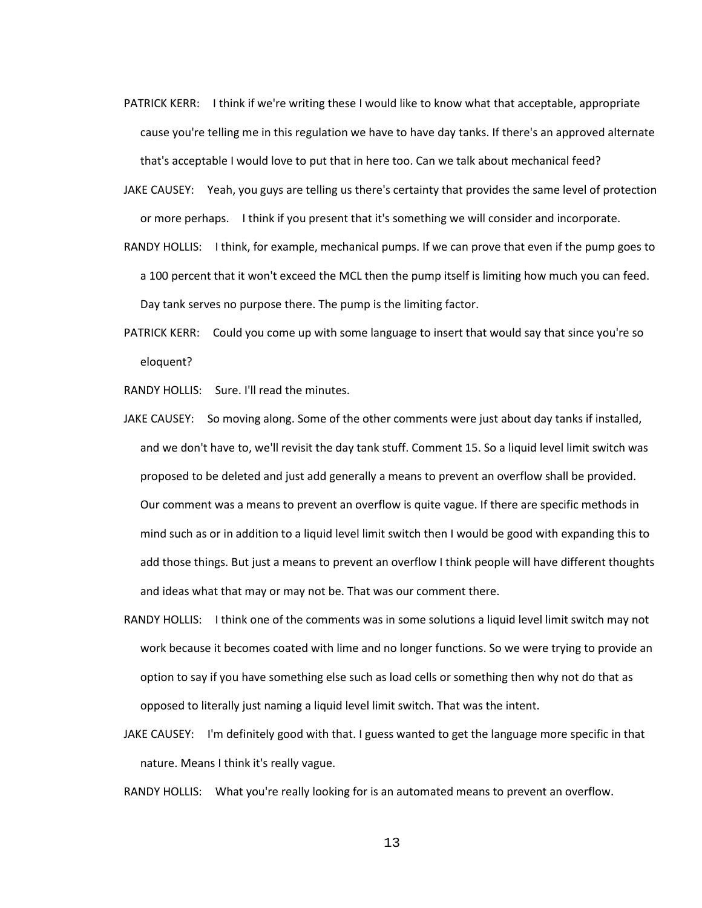- PATRICK KERR: I think if we're writing these I would like to know what that acceptable, appropriate cause you're telling me in this regulation we have to have day tanks. If there's an approved alternate that's acceptable I would love to put that in here too. Can we talk about mechanical feed?
- JAKE CAUSEY: Yeah, you guys are telling us there's certainty that provides the same level of protection or more perhaps. I think if you present that it's something we will consider and incorporate.
- RANDY HOLLIS: I think, for example, mechanical pumps. If we can prove that even if the pump goes to a 100 percent that it won't exceed the MCL then the pump itself is limiting how much you can feed. Day tank serves no purpose there. The pump is the limiting factor.
- PATRICK KERR: Could you come up with some language to insert that would say that since you're so eloquent?

RANDY HOLLIS: Sure. I'll read the minutes.

- JAKE CAUSEY: So moving along. Some of the other comments were just about day tanks if installed, and we don't have to, we'll revisit the day tank stuff. Comment 15. So a liquid level limit switch was proposed to be deleted and just add generally a means to prevent an overflow shall be provided. Our comment was a means to prevent an overflow is quite vague. If there are specific methods in mind such as or in addition to a liquid level limit switch then I would be good with expanding this to add those things. But just a means to prevent an overflow I think people will have different thoughts and ideas what that may or may not be. That was our comment there.
- RANDY HOLLIS: I think one of the comments was in some solutions a liquid level limit switch may not work because it becomes coated with lime and no longer functions. So we were trying to provide an option to say if you have something else such as load cells or something then why not do that as opposed to literally just naming a liquid level limit switch. That was the intent.
- JAKE CAUSEY: I'm definitely good with that. I guess wanted to get the language more specific in that nature. Means I think it's really vague.

RANDY HOLLIS: What you're really looking for is an automated means to prevent an overflow.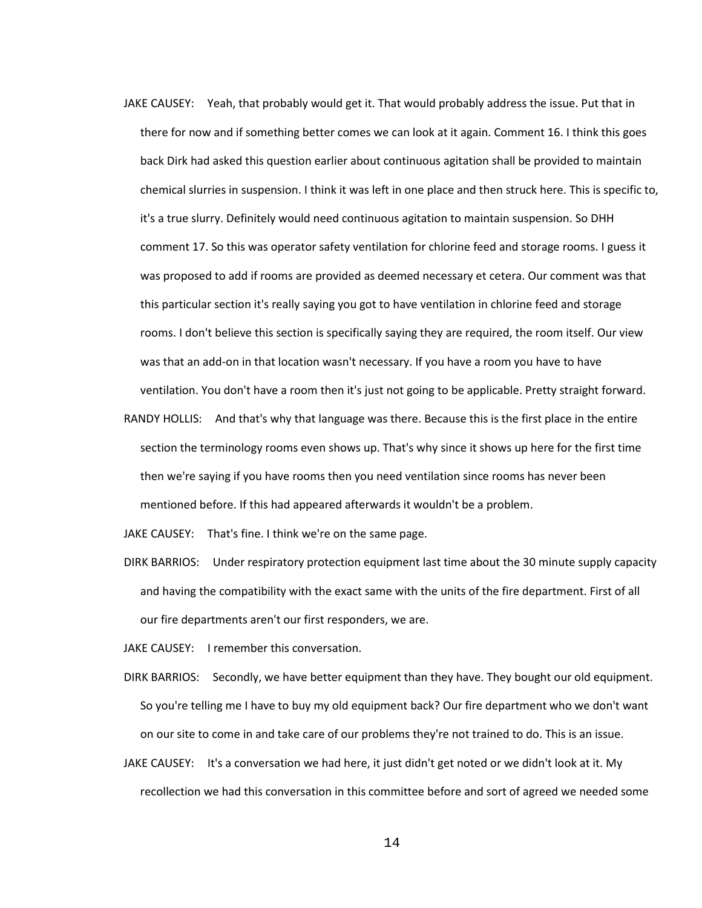- JAKE CAUSEY: Yeah, that probably would get it. That would probably address the issue. Put that in there for now and if something better comes we can look at it again. Comment 16. I think this goes back Dirk had asked this question earlier about continuous agitation shall be provided to maintain chemical slurries in suspension. I think it was left in one place and then struck here. This is specific to, it's a true slurry. Definitely would need continuous agitation to maintain suspension. So DHH comment 17. So this was operator safety ventilation for chlorine feed and storage rooms. I guess it was proposed to add if rooms are provided as deemed necessary et cetera. Our comment was that this particular section it's really saying you got to have ventilation in chlorine feed and storage rooms. I don't believe this section is specifically saying they are required, the room itself. Our view was that an add-on in that location wasn't necessary. If you have a room you have to have ventilation. You don't have a room then it's just not going to be applicable. Pretty straight forward.
- RANDY HOLLIS: And that's why that language was there. Because this is the first place in the entire section the terminology rooms even shows up. That's why since it shows up here for the first time then we're saying if you have rooms then you need ventilation since rooms has never been mentioned before. If this had appeared afterwards it wouldn't be a problem.

JAKE CAUSEY: That's fine. I think we're on the same page.

- DIRK BARRIOS: Under respiratory protection equipment last time about the 30 minute supply capacity and having the compatibility with the exact same with the units of the fire department. First of all our fire departments aren't our first responders, we are.
- JAKE CAUSEY: I remember this conversation.
- DIRK BARRIOS: Secondly, we have better equipment than they have. They bought our old equipment. So you're telling me I have to buy my old equipment back? Our fire department who we don't want on our site to come in and take care of our problems they're not trained to do. This is an issue.
- JAKE CAUSEY: It's a conversation we had here, it just didn't get noted or we didn't look at it. My recollection we had this conversation in this committee before and sort of agreed we needed some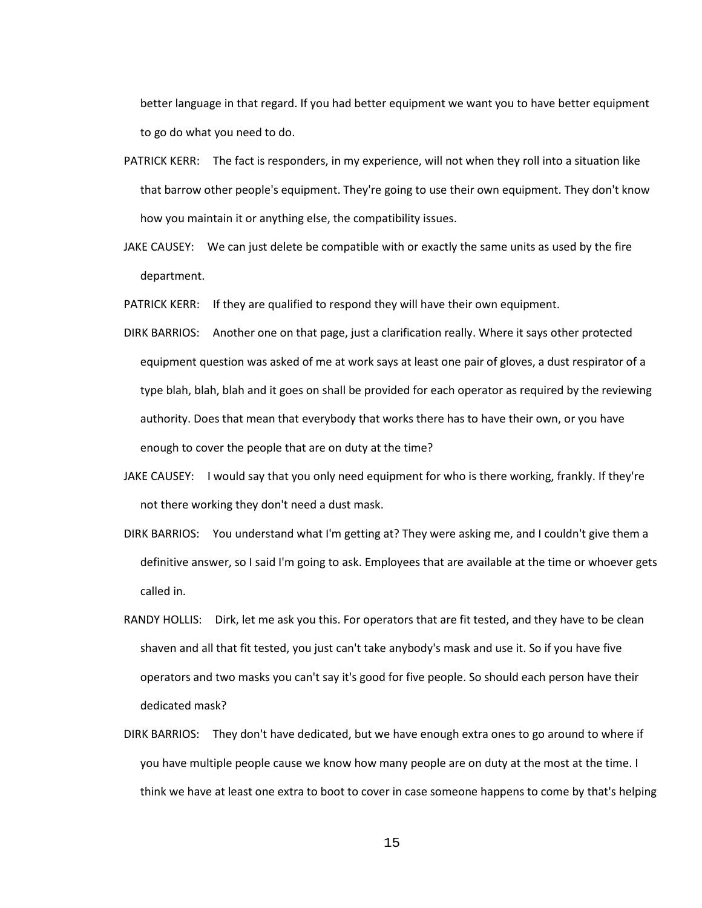better language in that regard. If you had better equipment we want you to have better equipment to go do what you need to do.

- PATRICK KERR: The fact is responders, in my experience, will not when they roll into a situation like that barrow other people's equipment. They're going to use their own equipment. They don't know how you maintain it or anything else, the compatibility issues.
- JAKE CAUSEY: We can just delete be compatible with or exactly the same units as used by the fire department.
- PATRICK KERR: If they are qualified to respond they will have their own equipment.
- DIRK BARRIOS: Another one on that page, just a clarification really. Where it says other protected equipment question was asked of me at work says at least one pair of gloves, a dust respirator of a type blah, blah, blah and it goes on shall be provided for each operator as required by the reviewing authority. Does that mean that everybody that works there has to have their own, or you have enough to cover the people that are on duty at the time?
- JAKE CAUSEY: I would say that you only need equipment for who is there working, frankly. If they're not there working they don't need a dust mask.
- DIRK BARRIOS: You understand what I'm getting at? They were asking me, and I couldn't give them a definitive answer, so I said I'm going to ask. Employees that are available at the time or whoever gets called in.
- RANDY HOLLIS: Dirk, let me ask you this. For operators that are fit tested, and they have to be clean shaven and all that fit tested, you just can't take anybody's mask and use it. So if you have five operators and two masks you can't say it's good for five people. So should each person have their dedicated mask?
- DIRK BARRIOS: They don't have dedicated, but we have enough extra ones to go around to where if you have multiple people cause we know how many people are on duty at the most at the time. I think we have at least one extra to boot to cover in case someone happens to come by that's helping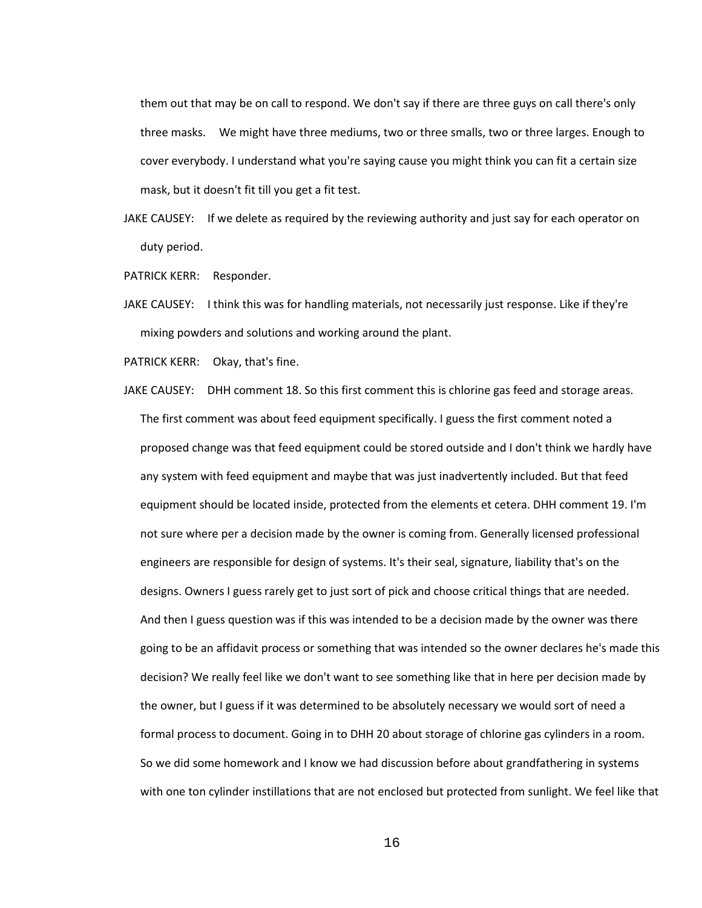them out that may be on call to respond. We don't say if there are three guys on call there's only three masks. We might have three mediums, two or three smalls, two or three larges. Enough to cover everybody. I understand what you're saying cause you might think you can fit a certain size mask, but it doesn't fit till you get a fit test.

- JAKE CAUSEY: If we delete as required by the reviewing authority and just say for each operator on duty period.
- PATRICK KERR: Responder.
- JAKE CAUSEY: I think this was for handling materials, not necessarily just response. Like if they're mixing powders and solutions and working around the plant.
- PATRICK KERR: Okay, that's fine.
- JAKE CAUSEY: DHH comment 18. So this first comment this is chlorine gas feed and storage areas. The first comment was about feed equipment specifically. I guess the first comment noted a proposed change was that feed equipment could be stored outside and I don't think we hardly have any system with feed equipment and maybe that was just inadvertently included. But that feed equipment should be located inside, protected from the elements et cetera. DHH comment 19. I'm not sure where per a decision made by the owner is coming from. Generally licensed professional engineers are responsible for design of systems. It's their seal, signature, liability that's on the designs. Owners I guess rarely get to just sort of pick and choose critical things that are needed. And then I guess question was if this was intended to be a decision made by the owner was there going to be an affidavit process or something that was intended so the owner declares he's made this decision? We really feel like we don't want to see something like that in here per decision made by the owner, but I guess if it was determined to be absolutely necessary we would sort of need a formal process to document. Going in to DHH 20 about storage of chlorine gas cylinders in a room. So we did some homework and I know we had discussion before about grandfathering in systems with one ton cylinder instillations that are not enclosed but protected from sunlight. We feel like that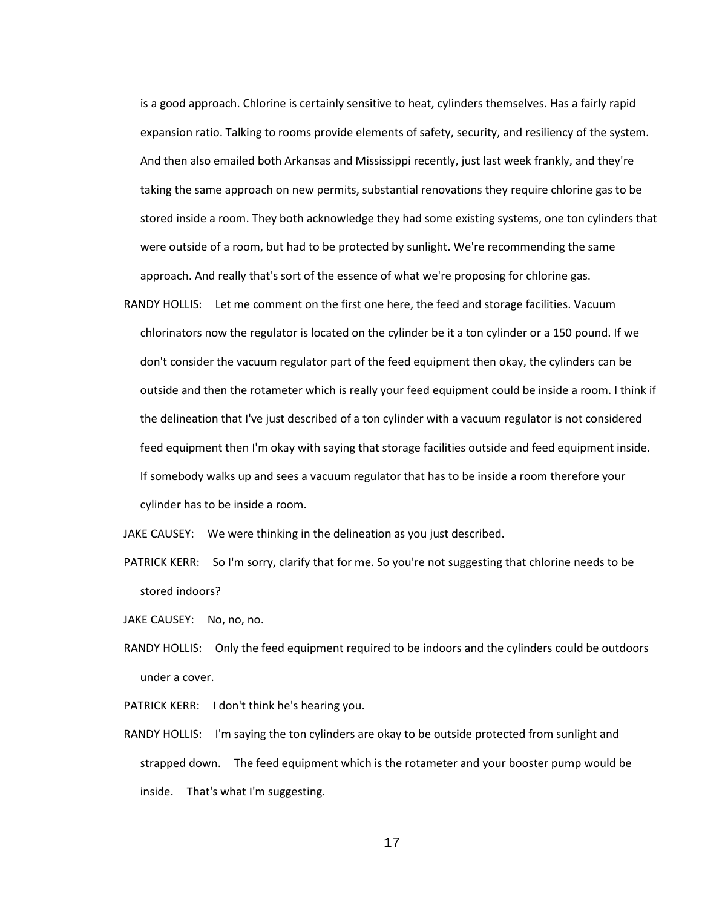is a good approach. Chlorine is certainly sensitive to heat, cylinders themselves. Has a fairly rapid expansion ratio. Talking to rooms provide elements of safety, security, and resiliency of the system. And then also emailed both Arkansas and Mississippi recently, just last week frankly, and they're taking the same approach on new permits, substantial renovations they require chlorine gas to be stored inside a room. They both acknowledge they had some existing systems, one ton cylinders that were outside of a room, but had to be protected by sunlight. We're recommending the same approach. And really that's sort of the essence of what we're proposing for chlorine gas.

RANDY HOLLIS: Let me comment on the first one here, the feed and storage facilities. Vacuum chlorinators now the regulator is located on the cylinder be it a ton cylinder or a 150 pound. If we don't consider the vacuum regulator part of the feed equipment then okay, the cylinders can be outside and then the rotameter which is really your feed equipment could be inside a room. I think if the delineation that I've just described of a ton cylinder with a vacuum regulator is not considered feed equipment then I'm okay with saying that storage facilities outside and feed equipment inside. If somebody walks up and sees a vacuum regulator that has to be inside a room therefore your cylinder has to be inside a room.

JAKE CAUSEY: We were thinking in the delineation as you just described.

- PATRICK KERR: So I'm sorry, clarify that for me. So you're not suggesting that chlorine needs to be stored indoors?
- JAKE CAUSEY: No, no, no.
- RANDY HOLLIS: Only the feed equipment required to be indoors and the cylinders could be outdoors under a cover.
- PATRICK KERR: I don't think he's hearing you.
- RANDY HOLLIS: I'm saying the ton cylinders are okay to be outside protected from sunlight and strapped down. The feed equipment which is the rotameter and your booster pump would be inside. That's what I'm suggesting.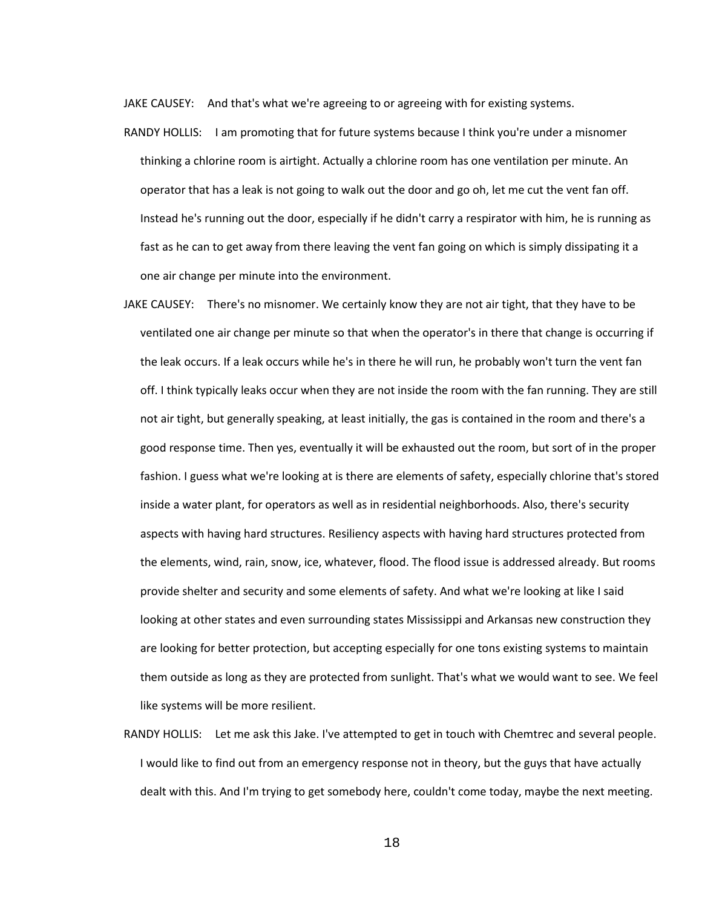JAKE CAUSEY: And that's what we're agreeing to or agreeing with for existing systems.

- RANDY HOLLIS: I am promoting that for future systems because I think you're under a misnomer thinking a chlorine room is airtight. Actually a chlorine room has one ventilation per minute. An operator that has a leak is not going to walk out the door and go oh, let me cut the vent fan off. Instead he's running out the door, especially if he didn't carry a respirator with him, he is running as fast as he can to get away from there leaving the vent fan going on which is simply dissipating it a one air change per minute into the environment.
- JAKE CAUSEY: There's no misnomer. We certainly know they are not air tight, that they have to be ventilated one air change per minute so that when the operator's in there that change is occurring if the leak occurs. If a leak occurs while he's in there he will run, he probably won't turn the vent fan off. I think typically leaks occur when they are not inside the room with the fan running. They are still not air tight, but generally speaking, at least initially, the gas is contained in the room and there's a good response time. Then yes, eventually it will be exhausted out the room, but sort of in the proper fashion. I guess what we're looking at is there are elements of safety, especially chlorine that's stored inside a water plant, for operators as well as in residential neighborhoods. Also, there's security aspects with having hard structures. Resiliency aspects with having hard structures protected from the elements, wind, rain, snow, ice, whatever, flood. The flood issue is addressed already. But rooms provide shelter and security and some elements of safety. And what we're looking at like I said looking at other states and even surrounding states Mississippi and Arkansas new construction they are looking for better protection, but accepting especially for one tons existing systems to maintain them outside as long as they are protected from sunlight. That's what we would want to see. We feel like systems will be more resilient.
- RANDY HOLLIS: Let me ask this Jake. I've attempted to get in touch with Chemtrec and several people. I would like to find out from an emergency response not in theory, but the guys that have actually dealt with this. And I'm trying to get somebody here, couldn't come today, maybe the next meeting.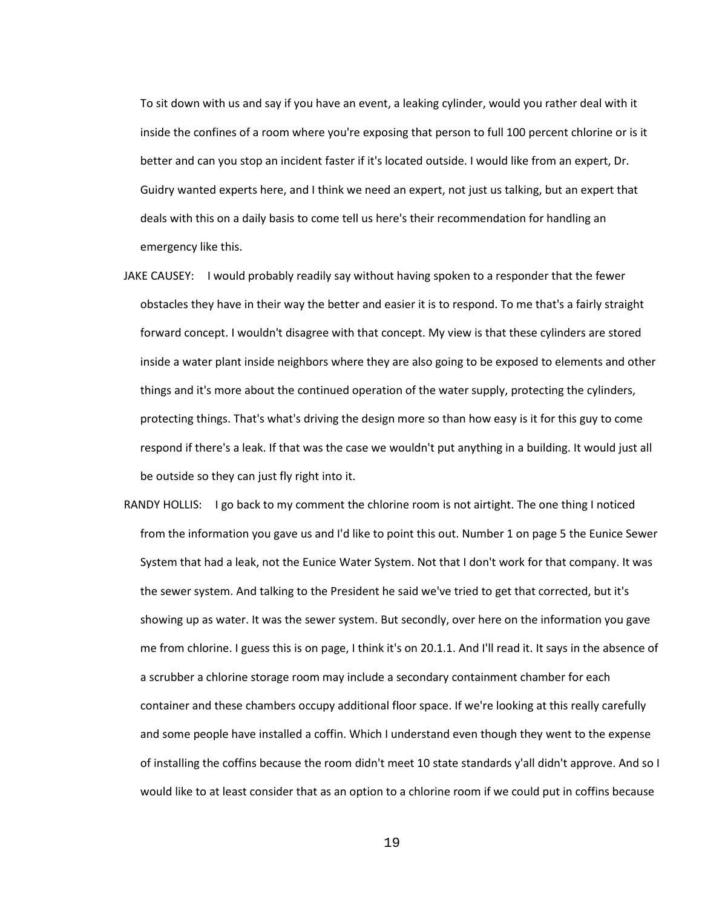To sit down with us and say if you have an event, a leaking cylinder, would you rather deal with it inside the confines of a room where you're exposing that person to full 100 percent chlorine or is it better and can you stop an incident faster if it's located outside. I would like from an expert, Dr. Guidry wanted experts here, and I think we need an expert, not just us talking, but an expert that deals with this on a daily basis to come tell us here's their recommendation for handling an emergency like this.

- JAKE CAUSEY: I would probably readily say without having spoken to a responder that the fewer obstacles they have in their way the better and easier it is to respond. To me that's a fairly straight forward concept. I wouldn't disagree with that concept. My view is that these cylinders are stored inside a water plant inside neighbors where they are also going to be exposed to elements and other things and it's more about the continued operation of the water supply, protecting the cylinders, protecting things. That's what's driving the design more so than how easy is it for this guy to come respond if there's a leak. If that was the case we wouldn't put anything in a building. It would just all be outside so they can just fly right into it.
- RANDY HOLLIS: I go back to my comment the chlorine room is not airtight. The one thing I noticed from the information you gave us and I'd like to point this out. Number 1 on page 5 the Eunice Sewer System that had a leak, not the Eunice Water System. Not that I don't work for that company. It was the sewer system. And talking to the President he said we've tried to get that corrected, but it's showing up as water. It was the sewer system. But secondly, over here on the information you gave me from chlorine. I guess this is on page, I think it's on 20.1.1. And I'll read it. It says in the absence of a scrubber a chlorine storage room may include a secondary containment chamber for each container and these chambers occupy additional floor space. If we're looking at this really carefully and some people have installed a coffin. Which I understand even though they went to the expense of installing the coffins because the room didn't meet 10 state standards y'all didn't approve. And so I would like to at least consider that as an option to a chlorine room if we could put in coffins because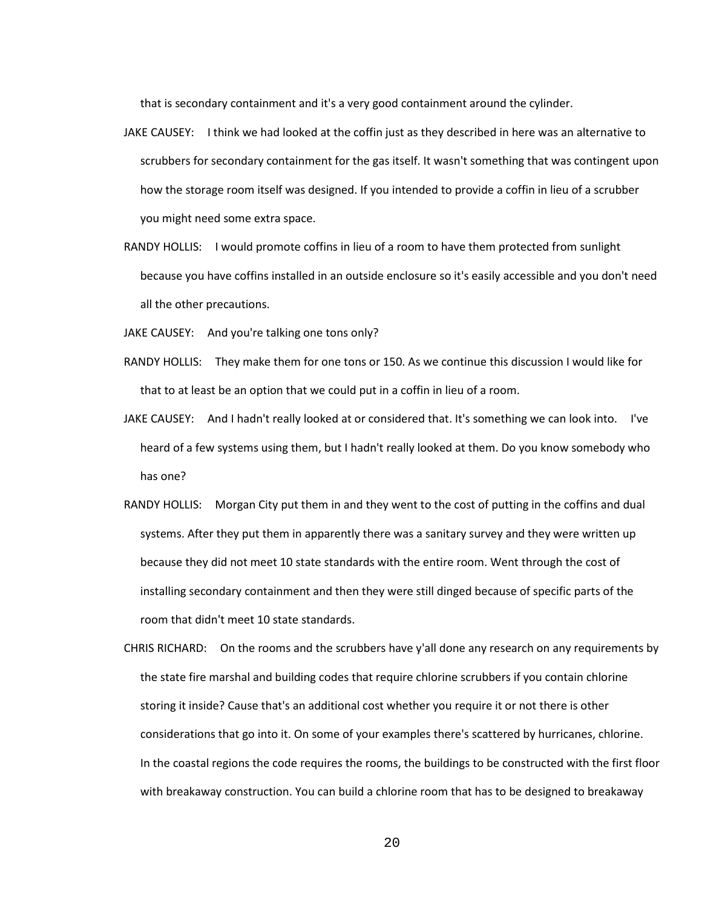that is secondary containment and it's a very good containment around the cylinder.

- JAKE CAUSEY: I think we had looked at the coffin just as they described in here was an alternative to scrubbers for secondary containment for the gas itself. It wasn't something that was contingent upon how the storage room itself was designed. If you intended to provide a coffin in lieu of a scrubber you might need some extra space.
- RANDY HOLLIS: I would promote coffins in lieu of a room to have them protected from sunlight because you have coffins installed in an outside enclosure so it's easily accessible and you don't need all the other precautions.
- JAKE CAUSEY: And you're talking one tons only?
- RANDY HOLLIS: They make them for one tons or 150. As we continue this discussion I would like for that to at least be an option that we could put in a coffin in lieu of a room.
- JAKE CAUSEY: And I hadn't really looked at or considered that. It's something we can look into. I've heard of a few systems using them, but I hadn't really looked at them. Do you know somebody who has one?
- RANDY HOLLIS: Morgan City put them in and they went to the cost of putting in the coffins and dual systems. After they put them in apparently there was a sanitary survey and they were written up because they did not meet 10 state standards with the entire room. Went through the cost of installing secondary containment and then they were still dinged because of specific parts of the room that didn't meet 10 state standards.
- CHRIS RICHARD: On the rooms and the scrubbers have y'all done any research on any requirements by the state fire marshal and building codes that require chlorine scrubbers if you contain chlorine storing it inside? Cause that's an additional cost whether you require it or not there is other considerations that go into it. On some of your examples there's scattered by hurricanes, chlorine. In the coastal regions the code requires the rooms, the buildings to be constructed with the first floor with breakaway construction. You can build a chlorine room that has to be designed to breakaway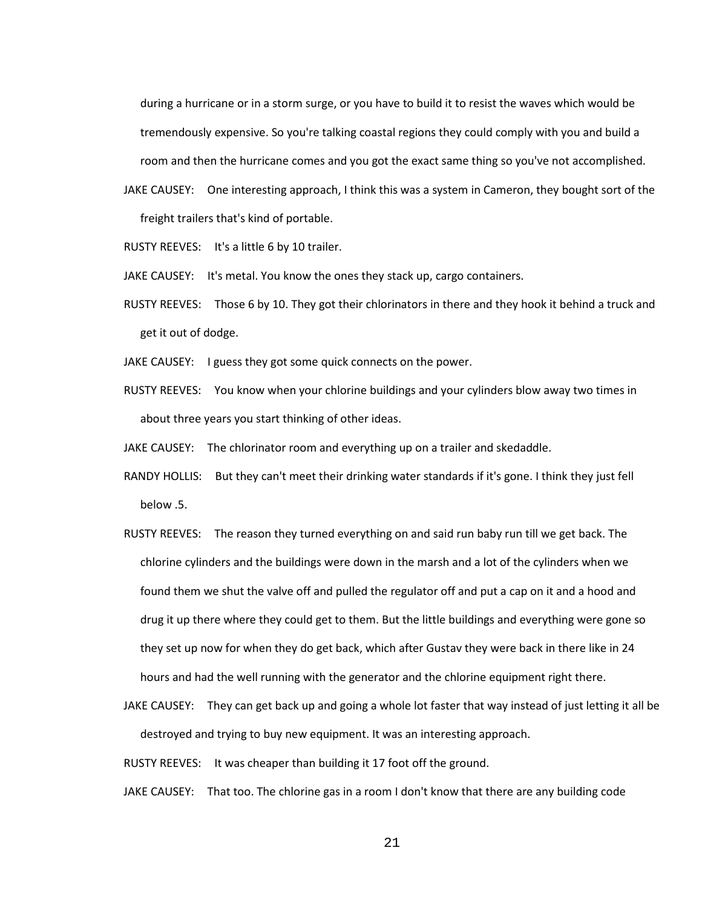during a hurricane or in a storm surge, or you have to build it to resist the waves which would be tremendously expensive. So you're talking coastal regions they could comply with you and build a room and then the hurricane comes and you got the exact same thing so you've not accomplished.

JAKE CAUSEY: One interesting approach, I think this was a system in Cameron, they bought sort of the freight trailers that's kind of portable.

RUSTY REEVES: It's a little 6 by 10 trailer.

JAKE CAUSEY: It's metal. You know the ones they stack up, cargo containers.

RUSTY REEVES: Those 6 by 10. They got their chlorinators in there and they hook it behind a truck and get it out of dodge.

JAKE CAUSEY: I guess they got some quick connects on the power.

RUSTY REEVES: You know when your chlorine buildings and your cylinders blow away two times in about three years you start thinking of other ideas.

JAKE CAUSEY: The chlorinator room and everything up on a trailer and skedaddle.

- RANDY HOLLIS: But they can't meet their drinking water standards if it's gone. I think they just fell below .5.
- RUSTY REEVES: The reason they turned everything on and said run baby run till we get back. The chlorine cylinders and the buildings were down in the marsh and a lot of the cylinders when we found them we shut the valve off and pulled the regulator off and put a cap on it and a hood and drug it up there where they could get to them. But the little buildings and everything were gone so they set up now for when they do get back, which after Gustav they were back in there like in 24 hours and had the well running with the generator and the chlorine equipment right there.
- JAKE CAUSEY: They can get back up and going a whole lot faster that way instead of just letting it all be destroyed and trying to buy new equipment. It was an interesting approach.

RUSTY REEVES: It was cheaper than building it 17 foot off the ground.

JAKE CAUSEY: That too. The chlorine gas in a room I don't know that there are any building code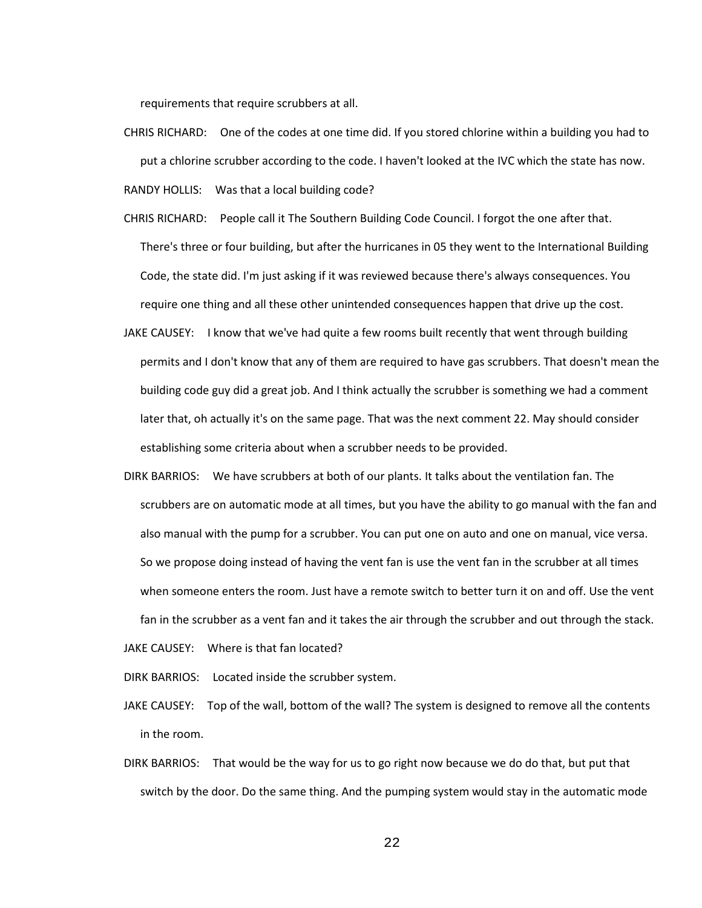requirements that require scrubbers at all.

- CHRIS RICHARD: One of the codes at one time did. If you stored chlorine within a building you had to put a chlorine scrubber according to the code. I haven't looked at the IVC which the state has now. RANDY HOLLIS: Was that a local building code?
- CHRIS RICHARD: People call it The Southern Building Code Council. I forgot the one after that. There's three or four building, but after the hurricanes in 05 they went to the International Building Code, the state did. I'm just asking if it was reviewed because there's always consequences. You require one thing and all these other unintended consequences happen that drive up the cost.
- JAKE CAUSEY: I know that we've had quite a few rooms built recently that went through building permits and I don't know that any of them are required to have gas scrubbers. That doesn't mean the building code guy did a great job. And I think actually the scrubber is something we had a comment later that, oh actually it's on the same page. That was the next comment 22. May should consider establishing some criteria about when a scrubber needs to be provided.
- DIRK BARRIOS: We have scrubbers at both of our plants. It talks about the ventilation fan. The scrubbers are on automatic mode at all times, but you have the ability to go manual with the fan and also manual with the pump for a scrubber. You can put one on auto and one on manual, vice versa. So we propose doing instead of having the vent fan is use the vent fan in the scrubber at all times when someone enters the room. Just have a remote switch to better turn it on and off. Use the vent fan in the scrubber as a vent fan and it takes the air through the scrubber and out through the stack.
- JAKE CAUSEY: Where is that fan located?
- DIRK BARRIOS: Located inside the scrubber system.
- JAKE CAUSEY: Top of the wall, bottom of the wall? The system is designed to remove all the contents in the room.
- DIRK BARRIOS: That would be the way for us to go right now because we do do that, but put that switch by the door. Do the same thing. And the pumping system would stay in the automatic mode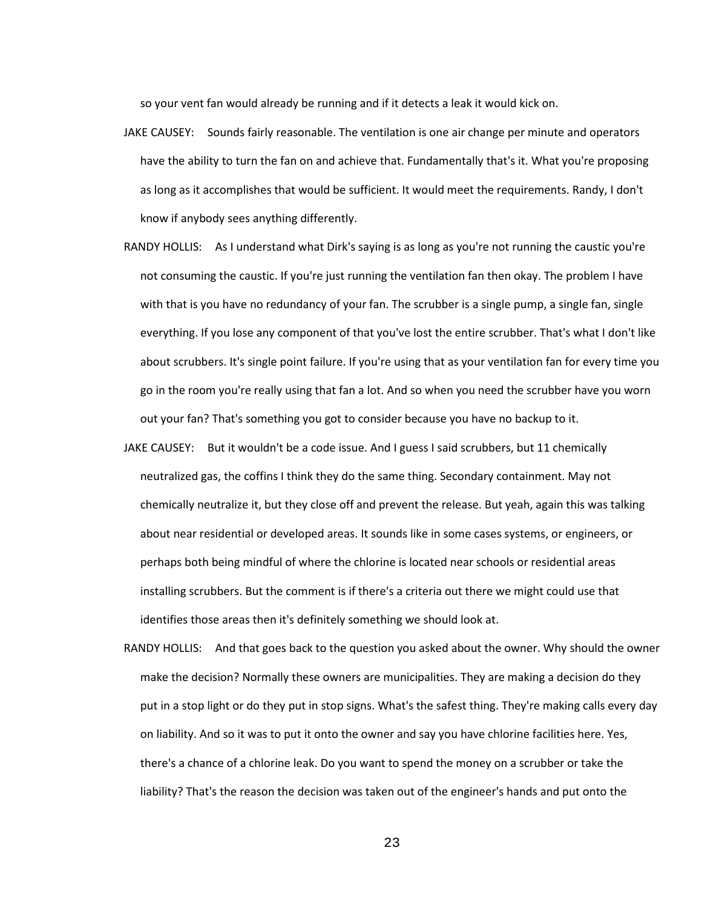so your vent fan would already be running and if it detects a leak it would kick on.

- JAKE CAUSEY: Sounds fairly reasonable. The ventilation is one air change per minute and operators have the ability to turn the fan on and achieve that. Fundamentally that's it. What you're proposing as long as it accomplishes that would be sufficient. It would meet the requirements. Randy, I don't know if anybody sees anything differently.
- RANDY HOLLIS: As I understand what Dirk's saying is as long as you're not running the caustic you're not consuming the caustic. If you're just running the ventilation fan then okay. The problem I have with that is you have no redundancy of your fan. The scrubber is a single pump, a single fan, single everything. If you lose any component of that you've lost the entire scrubber. That's what I don't like about scrubbers. It's single point failure. If you're using that as your ventilation fan for every time you go in the room you're really using that fan a lot. And so when you need the scrubber have you worn out your fan? That's something you got to consider because you have no backup to it.
- JAKE CAUSEY: But it wouldn't be a code issue. And I guess I said scrubbers, but 11 chemically neutralized gas, the coffins I think they do the same thing. Secondary containment. May not chemically neutralize it, but they close off and prevent the release. But yeah, again this was talking about near residential or developed areas. It sounds like in some cases systems, or engineers, or perhaps both being mindful of where the chlorine is located near schools or residential areas installing scrubbers. But the comment is if there's a criteria out there we might could use that identifies those areas then it's definitely something we should look at.
- RANDY HOLLIS: And that goes back to the question you asked about the owner. Why should the owner make the decision? Normally these owners are municipalities. They are making a decision do they put in a stop light or do they put in stop signs. What's the safest thing. They're making calls every day on liability. And so it was to put it onto the owner and say you have chlorine facilities here. Yes, there's a chance of a chlorine leak. Do you want to spend the money on a scrubber or take the liability? That's the reason the decision was taken out of the engineer's hands and put onto the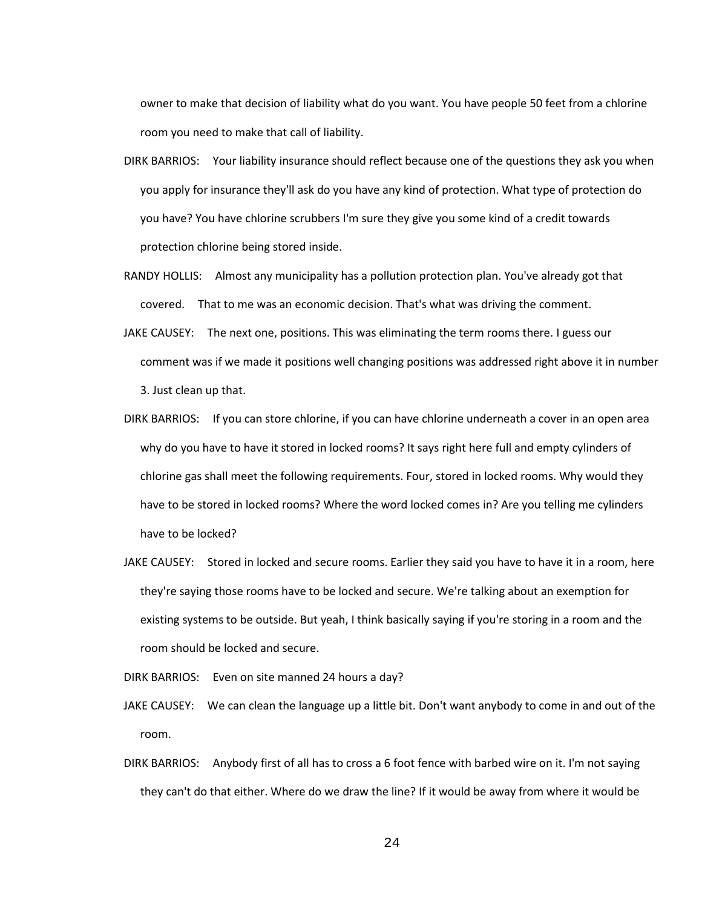owner to make that decision of liability what do you want. You have people 50 feet from a chlorine room you need to make that call of liability.

- DIRK BARRIOS: Your liability insurance should reflect because one of the questions they ask you when you apply for insurance they'll ask do you have any kind of protection. What type of protection do you have? You have chlorine scrubbers I'm sure they give you some kind of a credit towards protection chlorine being stored inside.
- RANDY HOLLIS: Almost any municipality has a pollution protection plan. You've already got that covered. That to me was an economic decision. That's what was driving the comment.
- JAKE CAUSEY: The next one, positions. This was eliminating the term rooms there. I guess our comment was if we made it positions well changing positions was addressed right above it in number 3. Just clean up that.
- DIRK BARRIOS: If you can store chlorine, if you can have chlorine underneath a cover in an open area why do you have to have it stored in locked rooms? It says right here full and empty cylinders of chlorine gas shall meet the following requirements. Four, stored in locked rooms. Why would they have to be stored in locked rooms? Where the word locked comes in? Are you telling me cylinders have to be locked?
- JAKE CAUSEY: Stored in locked and secure rooms. Earlier they said you have to have it in a room, here they're saying those rooms have to be locked and secure. We're talking about an exemption for existing systems to be outside. But yeah, I think basically saying if you're storing in a room and the room should be locked and secure.

DIRK BARRIOS: Even on site manned 24 hours a day?

- JAKE CAUSEY: We can clean the language up a little bit. Don't want anybody to come in and out of the room.
- DIRK BARRIOS: Anybody first of all has to cross a 6 foot fence with barbed wire on it. I'm not saying they can't do that either. Where do we draw the line? If it would be away from where it would be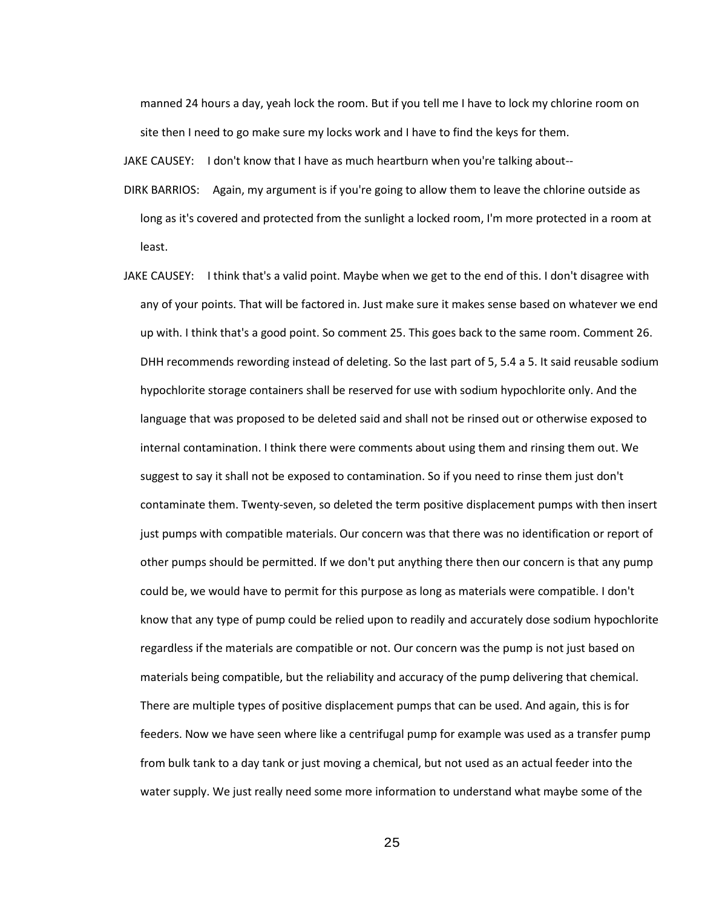manned 24 hours a day, yeah lock the room. But if you tell me I have to lock my chlorine room on site then I need to go make sure my locks work and I have to find the keys for them.

JAKE CAUSEY: I don't know that I have as much heartburn when you're talking about--

- DIRK BARRIOS: Again, my argument is if you're going to allow them to leave the chlorine outside as long as it's covered and protected from the sunlight a locked room, I'm more protected in a room at least.
- JAKE CAUSEY: I think that's a valid point. Maybe when we get to the end of this. I don't disagree with any of your points. That will be factored in. Just make sure it makes sense based on whatever we end up with. I think that's a good point. So comment 25. This goes back to the same room. Comment 26. DHH recommends rewording instead of deleting. So the last part of 5, 5.4 a 5. It said reusable sodium hypochlorite storage containers shall be reserved for use with sodium hypochlorite only. And the language that was proposed to be deleted said and shall not be rinsed out or otherwise exposed to internal contamination. I think there were comments about using them and rinsing them out. We suggest to say it shall not be exposed to contamination. So if you need to rinse them just don't contaminate them. Twenty-seven, so deleted the term positive displacement pumps with then insert just pumps with compatible materials. Our concern was that there was no identification or report of other pumps should be permitted. If we don't put anything there then our concern is that any pump could be, we would have to permit for this purpose as long as materials were compatible. I don't know that any type of pump could be relied upon to readily and accurately dose sodium hypochlorite regardless if the materials are compatible or not. Our concern was the pump is not just based on materials being compatible, but the reliability and accuracy of the pump delivering that chemical. There are multiple types of positive displacement pumps that can be used. And again, this is for feeders. Now we have seen where like a centrifugal pump for example was used as a transfer pump from bulk tank to a day tank or just moving a chemical, but not used as an actual feeder into the water supply. We just really need some more information to understand what maybe some of the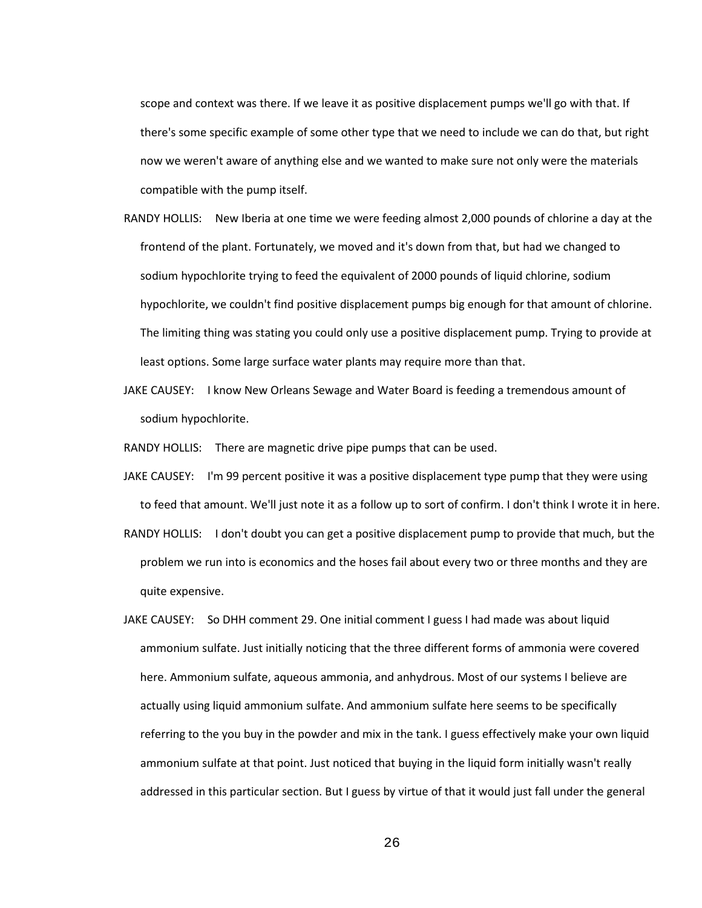scope and context was there. If we leave it as positive displacement pumps we'll go with that. If there's some specific example of some other type that we need to include we can do that, but right now we weren't aware of anything else and we wanted to make sure not only were the materials compatible with the pump itself.

- RANDY HOLLIS: New Iberia at one time we were feeding almost 2,000 pounds of chlorine a day at the frontend of the plant. Fortunately, we moved and it's down from that, but had we changed to sodium hypochlorite trying to feed the equivalent of 2000 pounds of liquid chlorine, sodium hypochlorite, we couldn't find positive displacement pumps big enough for that amount of chlorine. The limiting thing was stating you could only use a positive displacement pump. Trying to provide at least options. Some large surface water plants may require more than that.
- JAKE CAUSEY: I know New Orleans Sewage and Water Board is feeding a tremendous amount of sodium hypochlorite.

RANDY HOLLIS: There are magnetic drive pipe pumps that can be used.

- JAKE CAUSEY: I'm 99 percent positive it was a positive displacement type pump that they were using to feed that amount. We'll just note it as a follow up to sort of confirm. I don't think I wrote it in here.
- RANDY HOLLIS: I don't doubt you can get a positive displacement pump to provide that much, but the problem we run into is economics and the hoses fail about every two or three months and they are quite expensive.
- JAKE CAUSEY: So DHH comment 29. One initial comment I guess I had made was about liquid ammonium sulfate. Just initially noticing that the three different forms of ammonia were covered here. Ammonium sulfate, aqueous ammonia, and anhydrous. Most of our systems I believe are actually using liquid ammonium sulfate. And ammonium sulfate here seems to be specifically referring to the you buy in the powder and mix in the tank. I guess effectively make your own liquid ammonium sulfate at that point. Just noticed that buying in the liquid form initially wasn't really addressed in this particular section. But I guess by virtue of that it would just fall under the general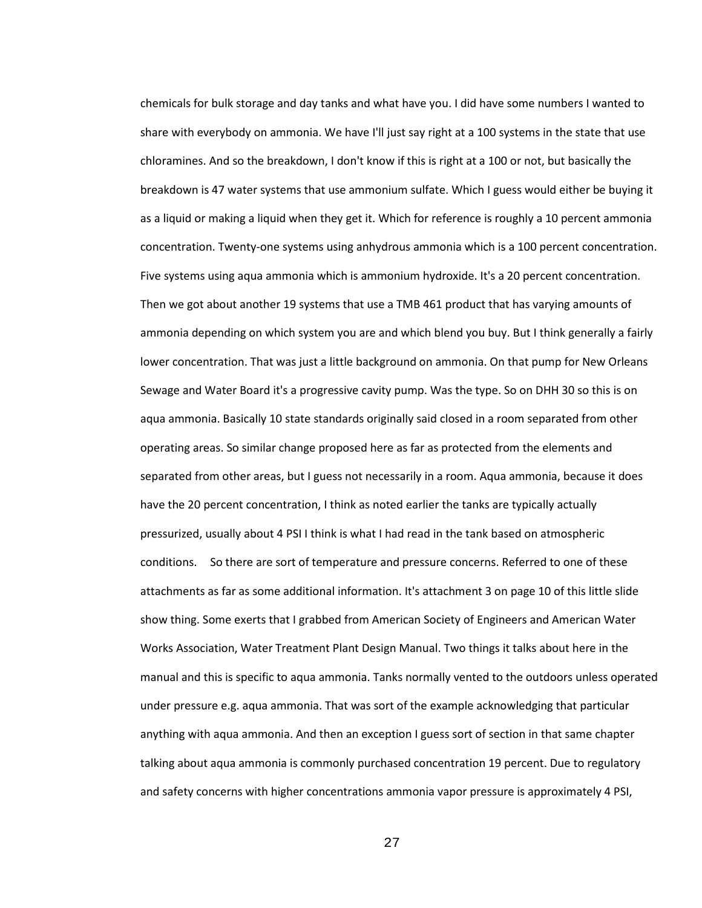chemicals for bulk storage and day tanks and what have you. I did have some numbers I wanted to share with everybody on ammonia. We have I'll just say right at a 100 systems in the state that use chloramines. And so the breakdown, I don't know if this is right at a 100 or not, but basically the breakdown is 47 water systems that use ammonium sulfate. Which I guess would either be buying it as a liquid or making a liquid when they get it. Which for reference is roughly a 10 percent ammonia concentration. Twenty-one systems using anhydrous ammonia which is a 100 percent concentration. Five systems using aqua ammonia which is ammonium hydroxide. It's a 20 percent concentration. Then we got about another 19 systems that use a TMB 461 product that has varying amounts of ammonia depending on which system you are and which blend you buy. But I think generally a fairly lower concentration. That was just a little background on ammonia. On that pump for New Orleans Sewage and Water Board it's a progressive cavity pump. Was the type. So on DHH 30 so this is on aqua ammonia. Basically 10 state standards originally said closed in a room separated from other operating areas. So similar change proposed here as far as protected from the elements and separated from other areas, but I guess not necessarily in a room. Aqua ammonia, because it does have the 20 percent concentration, I think as noted earlier the tanks are typically actually pressurized, usually about 4 PSI I think is what I had read in the tank based on atmospheric conditions. So there are sort of temperature and pressure concerns. Referred to one of these attachments as far as some additional information. It's attachment 3 on page 10 of this little slide show thing. Some exerts that I grabbed from American Society of Engineers and American Water Works Association, Water Treatment Plant Design Manual. Two things it talks about here in the manual and this is specific to aqua ammonia. Tanks normally vented to the outdoors unless operated under pressure e.g. aqua ammonia. That was sort of the example acknowledging that particular anything with aqua ammonia. And then an exception I guess sort of section in that same chapter talking about aqua ammonia is commonly purchased concentration 19 percent. Due to regulatory and safety concerns with higher concentrations ammonia vapor pressure is approximately 4 PSI,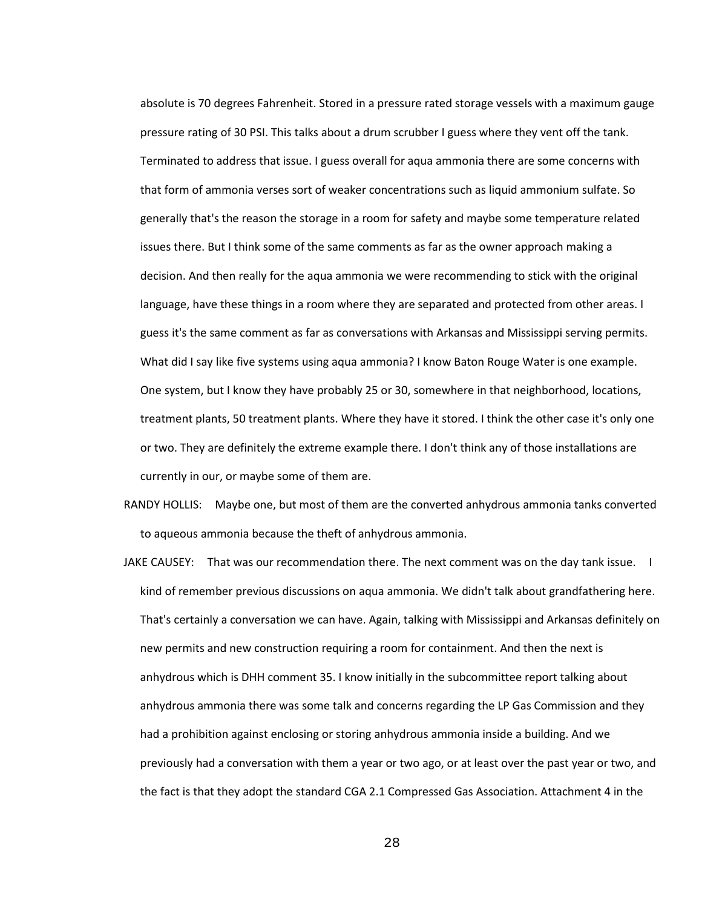absolute is 70 degrees Fahrenheit. Stored in a pressure rated storage vessels with a maximum gauge pressure rating of 30 PSI. This talks about a drum scrubber I guess where they vent off the tank. Terminated to address that issue. I guess overall for aqua ammonia there are some concerns with that form of ammonia verses sort of weaker concentrations such as liquid ammonium sulfate. So generally that's the reason the storage in a room for safety and maybe some temperature related issues there. But I think some of the same comments as far as the owner approach making a decision. And then really for the aqua ammonia we were recommending to stick with the original language, have these things in a room where they are separated and protected from other areas. I guess it's the same comment as far as conversations with Arkansas and Mississippi serving permits. What did I say like five systems using aqua ammonia? I know Baton Rouge Water is one example. One system, but I know they have probably 25 or 30, somewhere in that neighborhood, locations, treatment plants, 50 treatment plants. Where they have it stored. I think the other case it's only one or two. They are definitely the extreme example there. I don't think any of those installations are currently in our, or maybe some of them are.

- RANDY HOLLIS: Maybe one, but most of them are the converted anhydrous ammonia tanks converted to aqueous ammonia because the theft of anhydrous ammonia.
- JAKE CAUSEY: That was our recommendation there. The next comment was on the day tank issue. I kind of remember previous discussions on aqua ammonia. We didn't talk about grandfathering here. That's certainly a conversation we can have. Again, talking with Mississippi and Arkansas definitely on new permits and new construction requiring a room for containment. And then the next is anhydrous which is DHH comment 35. I know initially in the subcommittee report talking about anhydrous ammonia there was some talk and concerns regarding the LP Gas Commission and they had a prohibition against enclosing or storing anhydrous ammonia inside a building. And we previously had a conversation with them a year or two ago, or at least over the past year or two, and the fact is that they adopt the standard CGA 2.1 Compressed Gas Association. Attachment 4 in the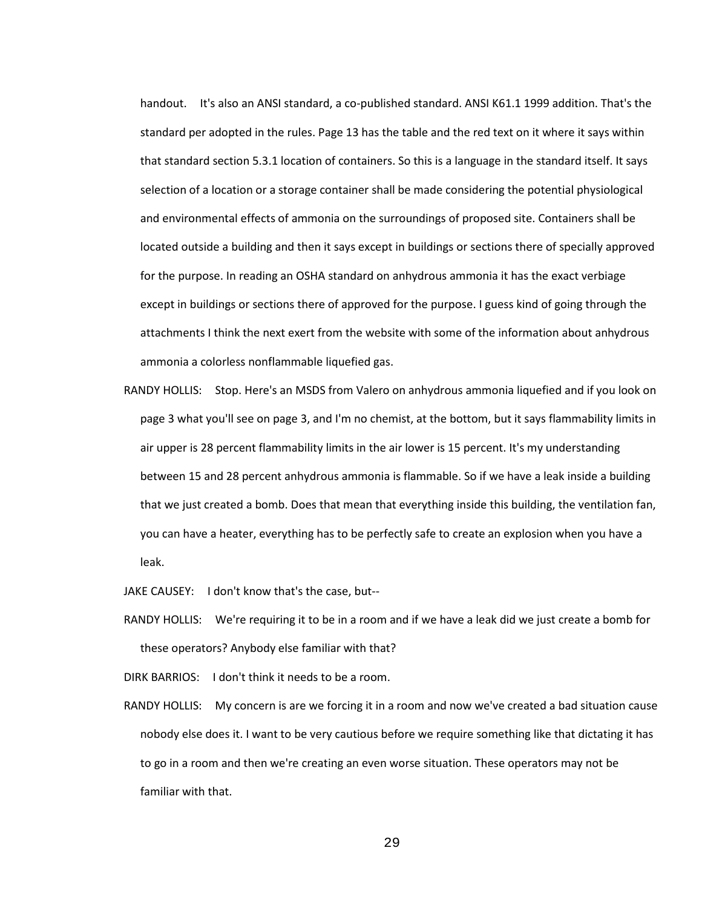handout. It's also an ANSI standard, a co-published standard. ANSI K61.1 1999 addition. That's the standard per adopted in the rules. Page 13 has the table and the red text on it where it says within that standard section 5.3.1 location of containers. So this is a language in the standard itself. It says selection of a location or a storage container shall be made considering the potential physiological and environmental effects of ammonia on the surroundings of proposed site. Containers shall be located outside a building and then it says except in buildings or sections there of specially approved for the purpose. In reading an OSHA standard on anhydrous ammonia it has the exact verbiage except in buildings or sections there of approved for the purpose. I guess kind of going through the attachments I think the next exert from the website with some of the information about anhydrous ammonia a colorless nonflammable liquefied gas.

RANDY HOLLIS: Stop. Here's an MSDS from Valero on anhydrous ammonia liquefied and if you look on page 3 what you'll see on page 3, and I'm no chemist, at the bottom, but it says flammability limits in air upper is 28 percent flammability limits in the air lower is 15 percent. It's my understanding between 15 and 28 percent anhydrous ammonia is flammable. So if we have a leak inside a building that we just created a bomb. Does that mean that everything inside this building, the ventilation fan, you can have a heater, everything has to be perfectly safe to create an explosion when you have a leak.

JAKE CAUSEY: I don't know that's the case, but--

RANDY HOLLIS: We're requiring it to be in a room and if we have a leak did we just create a bomb for these operators? Anybody else familiar with that?

DIRK BARRIOS: I don't think it needs to be a room.

RANDY HOLLIS: My concern is are we forcing it in a room and now we've created a bad situation cause nobody else does it. I want to be very cautious before we require something like that dictating it has to go in a room and then we're creating an even worse situation. These operators may not be familiar with that.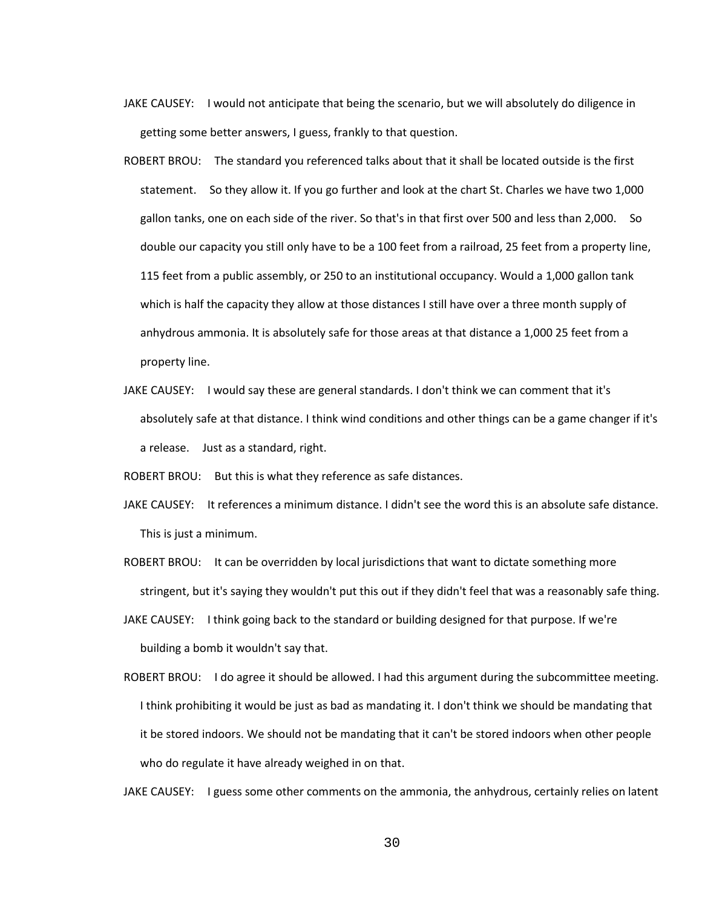- JAKE CAUSEY: I would not anticipate that being the scenario, but we will absolutely do diligence in getting some better answers, I guess, frankly to that question.
- ROBERT BROU: The standard you referenced talks about that it shall be located outside is the first statement. So they allow it. If you go further and look at the chart St. Charles we have two 1,000 gallon tanks, one on each side of the river. So that's in that first over 500 and less than 2,000. So double our capacity you still only have to be a 100 feet from a railroad, 25 feet from a property line, 115 feet from a public assembly, or 250 to an institutional occupancy. Would a 1,000 gallon tank which is half the capacity they allow at those distances I still have over a three month supply of anhydrous ammonia. It is absolutely safe for those areas at that distance a 1,000 25 feet from a property line.
- JAKE CAUSEY: I would say these are general standards. I don't think we can comment that it's absolutely safe at that distance. I think wind conditions and other things can be a game changer if it's a release. Just as a standard, right.

ROBERT BROU: But this is what they reference as safe distances.

- JAKE CAUSEY: It references a minimum distance. I didn't see the word this is an absolute safe distance. This is just a minimum.
- ROBERT BROU: It can be overridden by local jurisdictions that want to dictate something more stringent, but it's saying they wouldn't put this out if they didn't feel that was a reasonably safe thing.
- JAKE CAUSEY: I think going back to the standard or building designed for that purpose. If we're building a bomb it wouldn't say that.
- ROBERT BROU: I do agree it should be allowed. I had this argument during the subcommittee meeting. I think prohibiting it would be just as bad as mandating it. I don't think we should be mandating that it be stored indoors. We should not be mandating that it can't be stored indoors when other people who do regulate it have already weighed in on that.

JAKE CAUSEY: I guess some other comments on the ammonia, the anhydrous, certainly relies on latent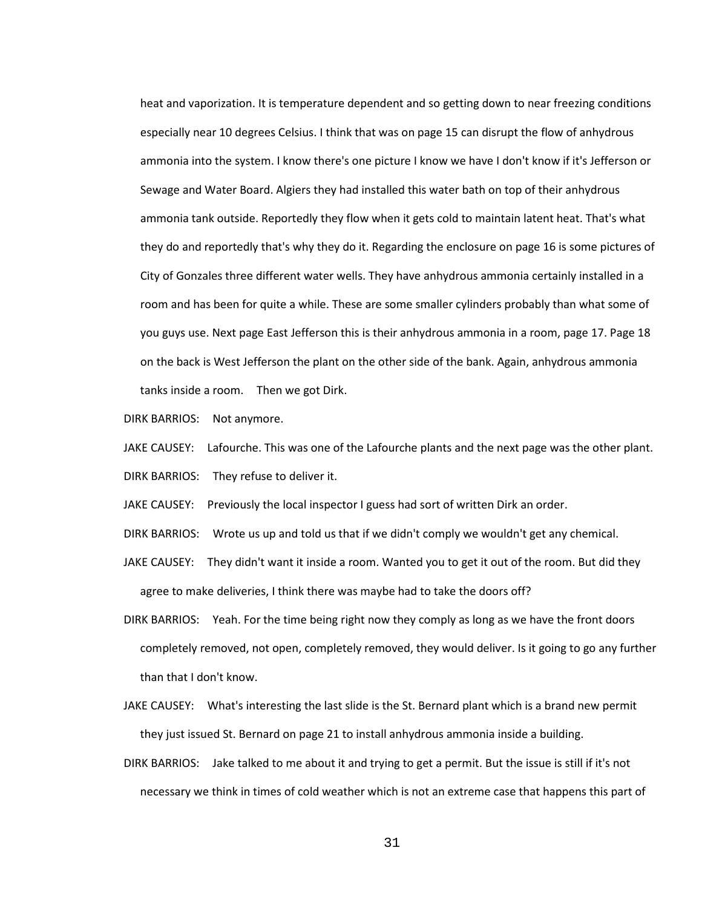heat and vaporization. It is temperature dependent and so getting down to near freezing conditions especially near 10 degrees Celsius. I think that was on page 15 can disrupt the flow of anhydrous ammonia into the system. I know there's one picture I know we have I don't know if it's Jefferson or Sewage and Water Board. Algiers they had installed this water bath on top of their anhydrous ammonia tank outside. Reportedly they flow when it gets cold to maintain latent heat. That's what they do and reportedly that's why they do it. Regarding the enclosure on page 16 is some pictures of City of Gonzales three different water wells. They have anhydrous ammonia certainly installed in a room and has been for quite a while. These are some smaller cylinders probably than what some of you guys use. Next page East Jefferson this is their anhydrous ammonia in a room, page 17. Page 18 on the back is West Jefferson the plant on the other side of the bank. Again, anhydrous ammonia tanks inside a room. Then we got Dirk.

DIRK BARRIOS: Not anymore.

- JAKE CAUSEY: Lafourche. This was one of the Lafourche plants and the next page was the other plant. DIRK BARRIOS: They refuse to deliver it.
- JAKE CAUSEY: Previously the local inspector I guess had sort of written Dirk an order.
- DIRK BARRIOS: Wrote us up and told us that if we didn't comply we wouldn't get any chemical.
- JAKE CAUSEY: They didn't want it inside a room. Wanted you to get it out of the room. But did they agree to make deliveries, I think there was maybe had to take the doors off?
- DIRK BARRIOS: Yeah. For the time being right now they comply as long as we have the front doors completely removed, not open, completely removed, they would deliver. Is it going to go any further than that I don't know.
- JAKE CAUSEY: What's interesting the last slide is the St. Bernard plant which is a brand new permit they just issued St. Bernard on page 21 to install anhydrous ammonia inside a building.
- DIRK BARRIOS: Jake talked to me about it and trying to get a permit. But the issue is still if it's not necessary we think in times of cold weather which is not an extreme case that happens this part of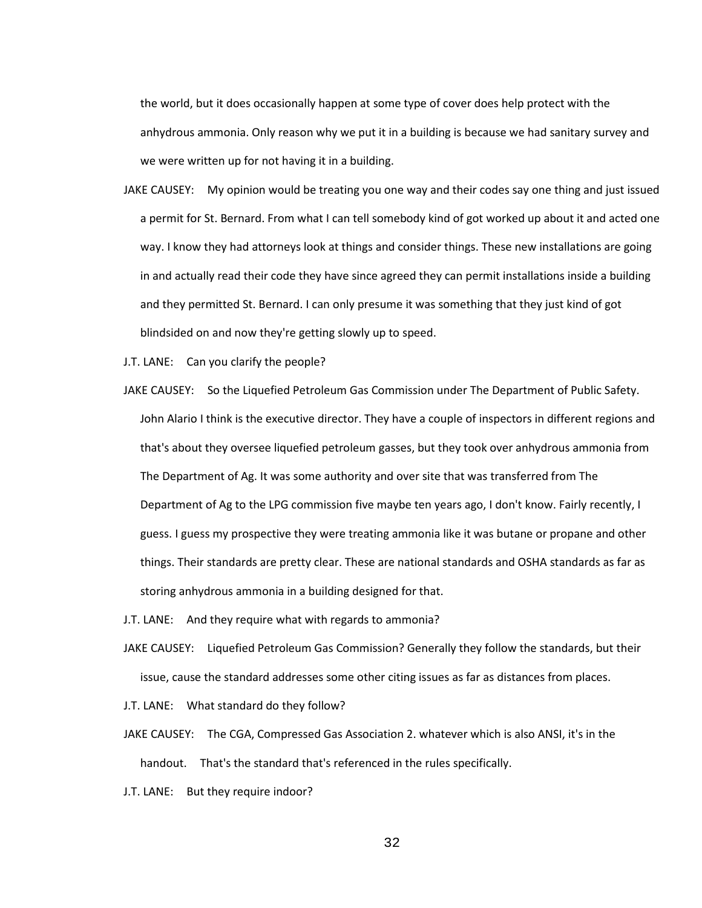the world, but it does occasionally happen at some type of cover does help protect with the anhydrous ammonia. Only reason why we put it in a building is because we had sanitary survey and we were written up for not having it in a building.

JAKE CAUSEY: My opinion would be treating you one way and their codes say one thing and just issued a permit for St. Bernard. From what I can tell somebody kind of got worked up about it and acted one way. I know they had attorneys look at things and consider things. These new installations are going in and actually read their code they have since agreed they can permit installations inside a building and they permitted St. Bernard. I can only presume it was something that they just kind of got blindsided on and now they're getting slowly up to speed.

J.T. LANE: Can you clarify the people?

- JAKE CAUSEY: So the Liquefied Petroleum Gas Commission under The Department of Public Safety. John Alario I think is the executive director. They have a couple of inspectors in different regions and that's about they oversee liquefied petroleum gasses, but they took over anhydrous ammonia from The Department of Ag. It was some authority and over site that was transferred from The Department of Ag to the LPG commission five maybe ten years ago, I don't know. Fairly recently, I guess. I guess my prospective they were treating ammonia like it was butane or propane and other things. Their standards are pretty clear. These are national standards and OSHA standards as far as storing anhydrous ammonia in a building designed for that.
- J.T. LANE: And they require what with regards to ammonia?
- JAKE CAUSEY: Liquefied Petroleum Gas Commission? Generally they follow the standards, but their issue, cause the standard addresses some other citing issues as far as distances from places.
- J.T. LANE: What standard do they follow?
- JAKE CAUSEY: The CGA, Compressed Gas Association 2. whatever which is also ANSI, it's in the handout. That's the standard that's referenced in the rules specifically.
- J.T. LANE: But they require indoor?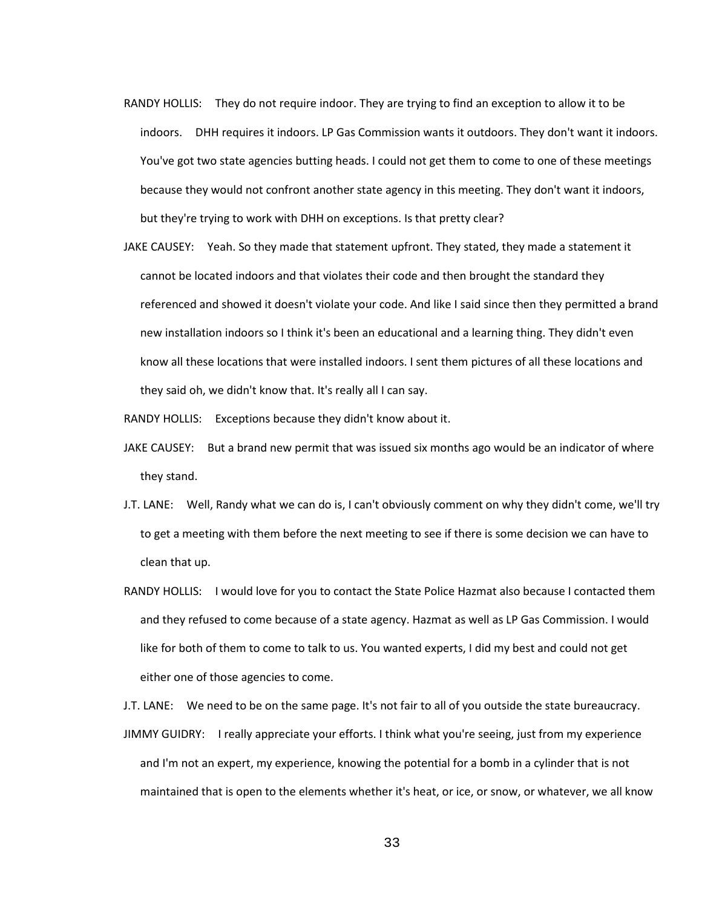- RANDY HOLLIS: They do not require indoor. They are trying to find an exception to allow it to be indoors. DHH requires it indoors. LP Gas Commission wants it outdoors. They don't want it indoors. You've got two state agencies butting heads. I could not get them to come to one of these meetings because they would not confront another state agency in this meeting. They don't want it indoors, but they're trying to work with DHH on exceptions. Is that pretty clear?
- JAKE CAUSEY: Yeah. So they made that statement upfront. They stated, they made a statement it cannot be located indoors and that violates their code and then brought the standard they referenced and showed it doesn't violate your code. And like I said since then they permitted a brand new installation indoors so I think it's been an educational and a learning thing. They didn't even know all these locations that were installed indoors. I sent them pictures of all these locations and they said oh, we didn't know that. It's really all I can say.

RANDY HOLLIS: Exceptions because they didn't know about it.

- JAKE CAUSEY: But a brand new permit that was issued six months ago would be an indicator of where they stand.
- J.T. LANE: Well, Randy what we can do is, I can't obviously comment on why they didn't come, we'll try to get a meeting with them before the next meeting to see if there is some decision we can have to clean that up.
- RANDY HOLLIS: I would love for you to contact the State Police Hazmat also because I contacted them and they refused to come because of a state agency. Hazmat as well as LP Gas Commission. I would like for both of them to come to talk to us. You wanted experts, I did my best and could not get either one of those agencies to come.

J.T. LANE: We need to be on the same page. It's not fair to all of you outside the state bureaucracy. JIMMY GUIDRY: I really appreciate your efforts. I think what you're seeing, just from my experience and I'm not an expert, my experience, knowing the potential for a bomb in a cylinder that is not maintained that is open to the elements whether it's heat, or ice, or snow, or whatever, we all know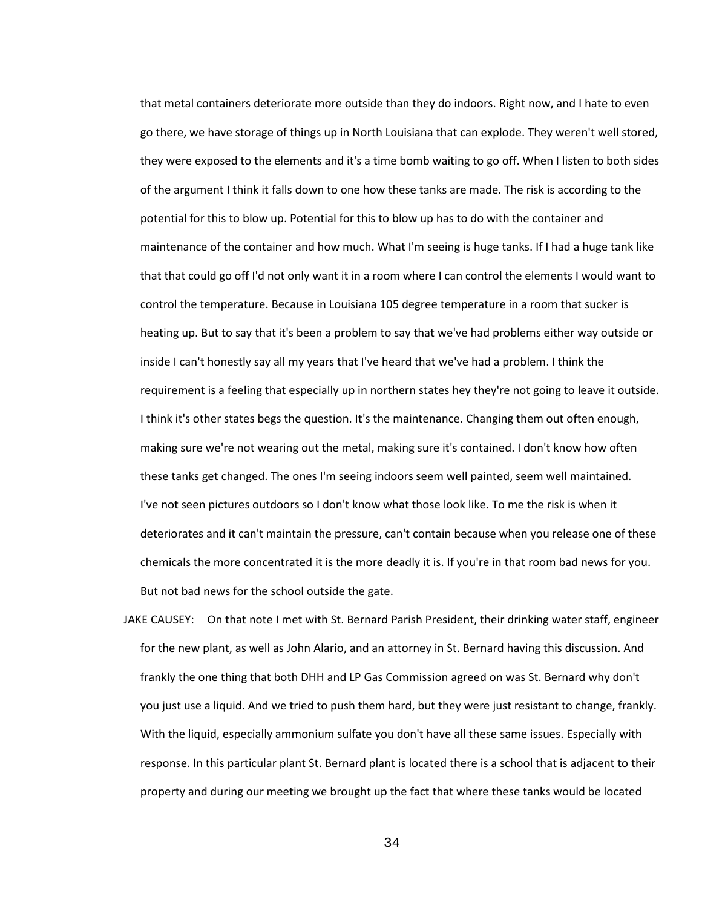that metal containers deteriorate more outside than they do indoors. Right now, and I hate to even go there, we have storage of things up in North Louisiana that can explode. They weren't well stored, they were exposed to the elements and it's a time bomb waiting to go off. When I listen to both sides of the argument I think it falls down to one how these tanks are made. The risk is according to the potential for this to blow up. Potential for this to blow up has to do with the container and maintenance of the container and how much. What I'm seeing is huge tanks. If I had a huge tank like that that could go off I'd not only want it in a room where I can control the elements I would want to control the temperature. Because in Louisiana 105 degree temperature in a room that sucker is heating up. But to say that it's been a problem to say that we've had problems either way outside or inside I can't honestly say all my years that I've heard that we've had a problem. I think the requirement is a feeling that especially up in northern states hey they're not going to leave it outside. I think it's other states begs the question. It's the maintenance. Changing them out often enough, making sure we're not wearing out the metal, making sure it's contained. I don't know how often these tanks get changed. The ones I'm seeing indoors seem well painted, seem well maintained. I've not seen pictures outdoors so I don't know what those look like. To me the risk is when it deteriorates and it can't maintain the pressure, can't contain because when you release one of these chemicals the more concentrated it is the more deadly it is. If you're in that room bad news for you. But not bad news for the school outside the gate.

JAKE CAUSEY: On that note I met with St. Bernard Parish President, their drinking water staff, engineer for the new plant, as well as John Alario, and an attorney in St. Bernard having this discussion. And frankly the one thing that both DHH and LP Gas Commission agreed on was St. Bernard why don't you just use a liquid. And we tried to push them hard, but they were just resistant to change, frankly. With the liquid, especially ammonium sulfate you don't have all these same issues. Especially with response. In this particular plant St. Bernard plant is located there is a school that is adjacent to their property and during our meeting we brought up the fact that where these tanks would be located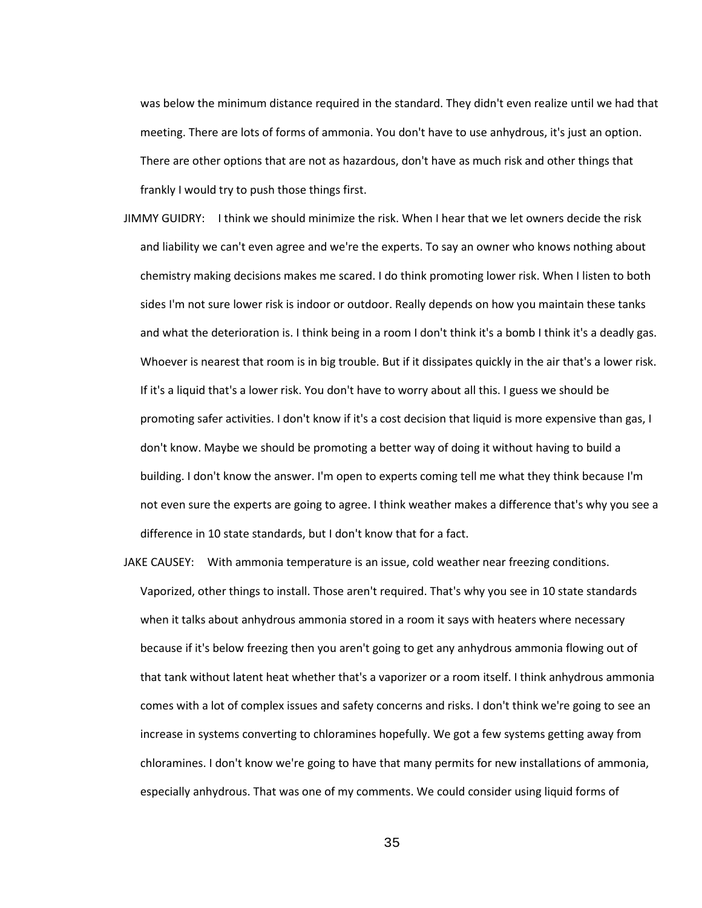was below the minimum distance required in the standard. They didn't even realize until we had that meeting. There are lots of forms of ammonia. You don't have to use anhydrous, it's just an option. There are other options that are not as hazardous, don't have as much risk and other things that frankly I would try to push those things first.

- JIMMY GUIDRY: I think we should minimize the risk. When I hear that we let owners decide the risk and liability we can't even agree and we're the experts. To say an owner who knows nothing about chemistry making decisions makes me scared. I do think promoting lower risk. When I listen to both sides I'm not sure lower risk is indoor or outdoor. Really depends on how you maintain these tanks and what the deterioration is. I think being in a room I don't think it's a bomb I think it's a deadly gas. Whoever is nearest that room is in big trouble. But if it dissipates quickly in the air that's a lower risk. If it's a liquid that's a lower risk. You don't have to worry about all this. I guess we should be promoting safer activities. I don't know if it's a cost decision that liquid is more expensive than gas, I don't know. Maybe we should be promoting a better way of doing it without having to build a building. I don't know the answer. I'm open to experts coming tell me what they think because I'm not even sure the experts are going to agree. I think weather makes a difference that's why you see a difference in 10 state standards, but I don't know that for a fact.
- JAKE CAUSEY: With ammonia temperature is an issue, cold weather near freezing conditions. Vaporized, other things to install. Those aren't required. That's why you see in 10 state standards when it talks about anhydrous ammonia stored in a room it says with heaters where necessary because if it's below freezing then you aren't going to get any anhydrous ammonia flowing out of that tank without latent heat whether that's a vaporizer or a room itself. I think anhydrous ammonia comes with a lot of complex issues and safety concerns and risks. I don't think we're going to see an increase in systems converting to chloramines hopefully. We got a few systems getting away from chloramines. I don't know we're going to have that many permits for new installations of ammonia, especially anhydrous. That was one of my comments. We could consider using liquid forms of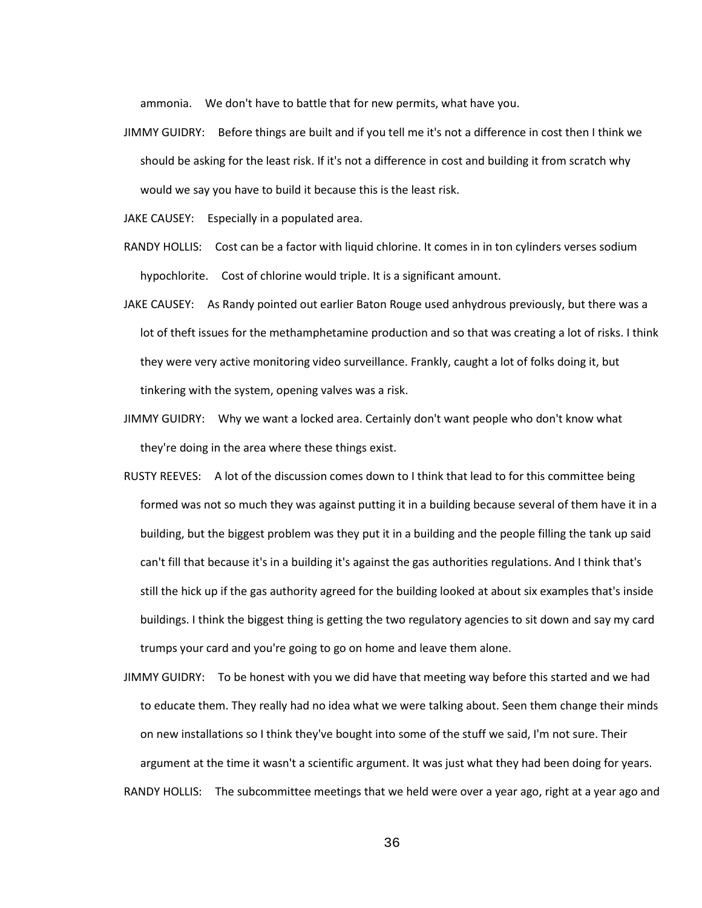ammonia. We don't have to battle that for new permits, what have you.

JIMMY GUIDRY: Before things are built and if you tell me it's not a difference in cost then I think we should be asking for the least risk. If it's not a difference in cost and building it from scratch why would we say you have to build it because this is the least risk.

JAKE CAUSEY: Especially in a populated area.

- RANDY HOLLIS: Cost can be a factor with liquid chlorine. It comes in in ton cylinders verses sodium hypochlorite. Cost of chlorine would triple. It is a significant amount.
- JAKE CAUSEY: As Randy pointed out earlier Baton Rouge used anhydrous previously, but there was a lot of theft issues for the methamphetamine production and so that was creating a lot of risks. I think they were very active monitoring video surveillance. Frankly, caught a lot of folks doing it, but tinkering with the system, opening valves was a risk.
- JIMMY GUIDRY: Why we want a locked area. Certainly don't want people who don't know what they're doing in the area where these things exist.
- RUSTY REEVES: A lot of the discussion comes down to I think that lead to for this committee being formed was not so much they was against putting it in a building because several of them have it in a building, but the biggest problem was they put it in a building and the people filling the tank up said can't fill that because it's in a building it's against the gas authorities regulations. And I think that's still the hick up if the gas authority agreed for the building looked at about six examples that's inside buildings. I think the biggest thing is getting the two regulatory agencies to sit down and say my card trumps your card and you're going to go on home and leave them alone.
- JIMMY GUIDRY: To be honest with you we did have that meeting way before this started and we had to educate them. They really had no idea what we were talking about. Seen them change their minds on new installations so I think they've bought into some of the stuff we said, I'm not sure. Their argument at the time it wasn't a scientific argument. It was just what they had been doing for years. RANDY HOLLIS: The subcommittee meetings that we held were over a year ago, right at a year ago and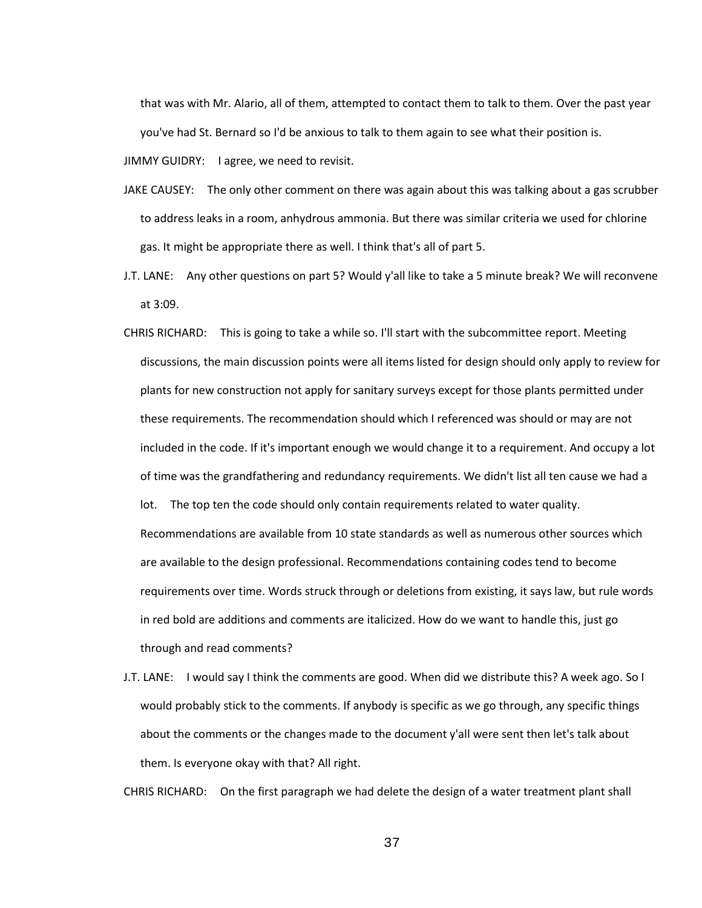that was with Mr. Alario, all of them, attempted to contact them to talk to them. Over the past year you've had St. Bernard so I'd be anxious to talk to them again to see what their position is.

JIMMY GUIDRY: I agree, we need to revisit.

- JAKE CAUSEY: The only other comment on there was again about this was talking about a gas scrubber to address leaks in a room, anhydrous ammonia. But there was similar criteria we used for chlorine gas. It might be appropriate there as well. I think that's all of part 5.
- J.T. LANE: Any other questions on part 5? Would y'all like to take a 5 minute break? We will reconvene at 3:09.
- CHRIS RICHARD: This is going to take a while so. I'll start with the subcommittee report. Meeting discussions, the main discussion points were all items listed for design should only apply to review for plants for new construction not apply for sanitary surveys except for those plants permitted under these requirements. The recommendation should which I referenced was should or may are not included in the code. If it's important enough we would change it to a requirement. And occupy a lot of time was the grandfathering and redundancy requirements. We didn't list all ten cause we had a lot. The top ten the code should only contain requirements related to water quality. Recommendations are available from 10 state standards as well as numerous other sources which are available to the design professional. Recommendations containing codes tend to become requirements over time. Words struck through or deletions from existing, it says law, but rule words in red bold are additions and comments are italicized. How do we want to handle this, just go through and read comments?
- J.T. LANE: I would say I think the comments are good. When did we distribute this? A week ago. So I would probably stick to the comments. If anybody is specific as we go through, any specific things about the comments or the changes made to the document y'all were sent then let's talk about them. Is everyone okay with that? All right.

CHRIS RICHARD: On the first paragraph we had delete the design of a water treatment plant shall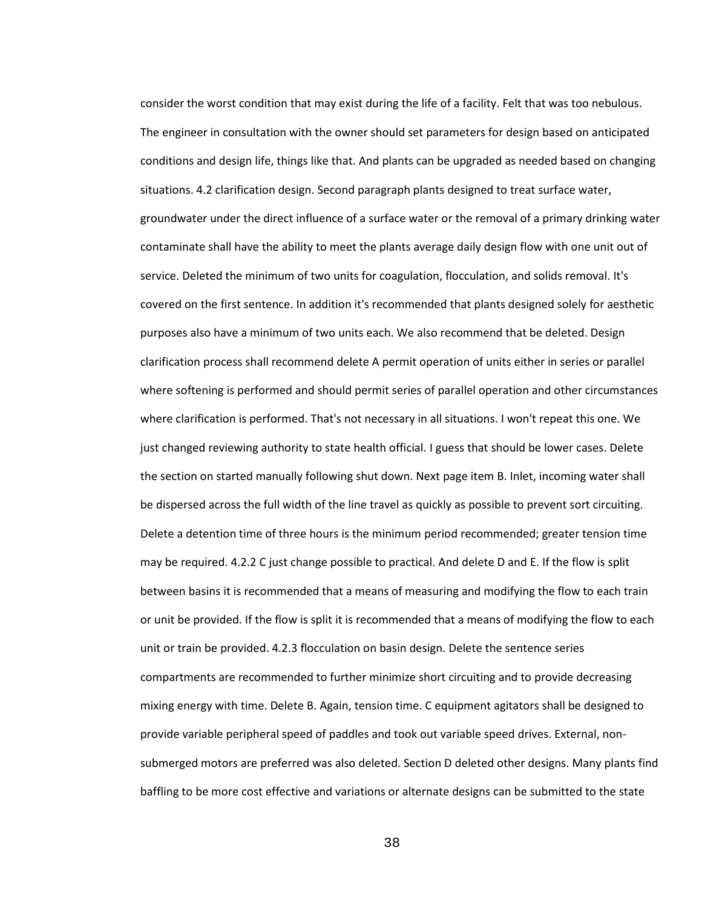consider the worst condition that may exist during the life of a facility. Felt that was too nebulous. The engineer in consultation with the owner should set parameters for design based on anticipated conditions and design life, things like that. And plants can be upgraded as needed based on changing situations. 4.2 clarification design. Second paragraph plants designed to treat surface water, groundwater under the direct influence of a surface water or the removal of a primary drinking water contaminate shall have the ability to meet the plants average daily design flow with one unit out of service. Deleted the minimum of two units for coagulation, flocculation, and solids removal. It's covered on the first sentence. In addition it's recommended that plants designed solely for aesthetic purposes also have a minimum of two units each. We also recommend that be deleted. Design clarification process shall recommend delete A permit operation of units either in series or parallel where softening is performed and should permit series of parallel operation and other circumstances where clarification is performed. That's not necessary in all situations. I won't repeat this one. We just changed reviewing authority to state health official. I guess that should be lower cases. Delete the section on started manually following shut down. Next page item B. Inlet, incoming water shall be dispersed across the full width of the line travel as quickly as possible to prevent sort circuiting. Delete a detention time of three hours is the minimum period recommended; greater tension time may be required. 4.2.2 C just change possible to practical. And delete D and E. If the flow is split between basins it is recommended that a means of measuring and modifying the flow to each train or unit be provided. If the flow is split it is recommended that a means of modifying the flow to each unit or train be provided. 4.2.3 flocculation on basin design. Delete the sentence series compartments are recommended to further minimize short circuiting and to provide decreasing mixing energy with time. Delete B. Again, tension time. C equipment agitators shall be designed to provide variable peripheral speed of paddles and took out variable speed drives. External, nonsubmerged motors are preferred was also deleted. Section D deleted other designs. Many plants find baffling to be more cost effective and variations or alternate designs can be submitted to the state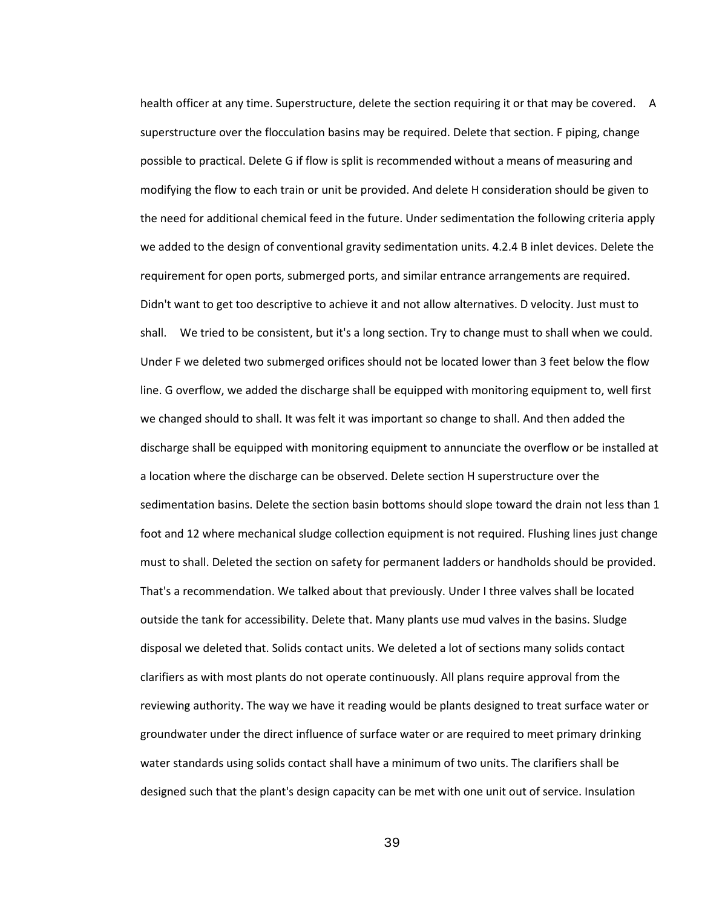health officer at any time. Superstructure, delete the section requiring it or that may be covered. A superstructure over the flocculation basins may be required. Delete that section. F piping, change possible to practical. Delete G if flow is split is recommended without a means of measuring and modifying the flow to each train or unit be provided. And delete H consideration should be given to the need for additional chemical feed in the future. Under sedimentation the following criteria apply we added to the design of conventional gravity sedimentation units. 4.2.4 B inlet devices. Delete the requirement for open ports, submerged ports, and similar entrance arrangements are required. Didn't want to get too descriptive to achieve it and not allow alternatives. D velocity. Just must to shall. We tried to be consistent, but it's a long section. Try to change must to shall when we could. Under F we deleted two submerged orifices should not be located lower than 3 feet below the flow line. G overflow, we added the discharge shall be equipped with monitoring equipment to, well first we changed should to shall. It was felt it was important so change to shall. And then added the discharge shall be equipped with monitoring equipment to annunciate the overflow or be installed at a location where the discharge can be observed. Delete section H superstructure over the sedimentation basins. Delete the section basin bottoms should slope toward the drain not less than 1 foot and 12 where mechanical sludge collection equipment is not required. Flushing lines just change must to shall. Deleted the section on safety for permanent ladders or handholds should be provided. That's a recommendation. We talked about that previously. Under I three valves shall be located outside the tank for accessibility. Delete that. Many plants use mud valves in the basins. Sludge disposal we deleted that. Solids contact units. We deleted a lot of sections many solids contact clarifiers as with most plants do not operate continuously. All plans require approval from the reviewing authority. The way we have it reading would be plants designed to treat surface water or groundwater under the direct influence of surface water or are required to meet primary drinking water standards using solids contact shall have a minimum of two units. The clarifiers shall be designed such that the plant's design capacity can be met with one unit out of service. Insulation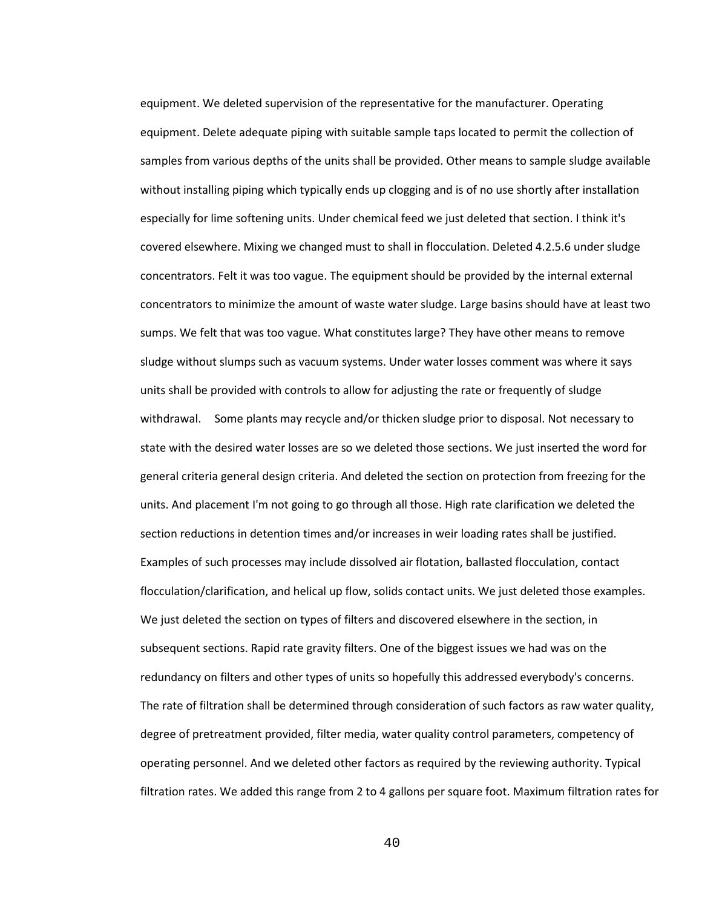equipment. We deleted supervision of the representative for the manufacturer. Operating equipment. Delete adequate piping with suitable sample taps located to permit the collection of samples from various depths of the units shall be provided. Other means to sample sludge available without installing piping which typically ends up clogging and is of no use shortly after installation especially for lime softening units. Under chemical feed we just deleted that section. I think it's covered elsewhere. Mixing we changed must to shall in flocculation. Deleted 4.2.5.6 under sludge concentrators. Felt it was too vague. The equipment should be provided by the internal external concentrators to minimize the amount of waste water sludge. Large basins should have at least two sumps. We felt that was too vague. What constitutes large? They have other means to remove sludge without slumps such as vacuum systems. Under water losses comment was where it says units shall be provided with controls to allow for adjusting the rate or frequently of sludge withdrawal. Some plants may recycle and/or thicken sludge prior to disposal. Not necessary to state with the desired water losses are so we deleted those sections. We just inserted the word for general criteria general design criteria. And deleted the section on protection from freezing for the units. And placement I'm not going to go through all those. High rate clarification we deleted the section reductions in detention times and/or increases in weir loading rates shall be justified. Examples of such processes may include dissolved air flotation, ballasted flocculation, contact flocculation/clarification, and helical up flow, solids contact units. We just deleted those examples. We just deleted the section on types of filters and discovered elsewhere in the section, in subsequent sections. Rapid rate gravity filters. One of the biggest issues we had was on the redundancy on filters and other types of units so hopefully this addressed everybody's concerns. The rate of filtration shall be determined through consideration of such factors as raw water quality, degree of pretreatment provided, filter media, water quality control parameters, competency of operating personnel. And we deleted other factors as required by the reviewing authority. Typical filtration rates. We added this range from 2 to 4 gallons per square foot. Maximum filtration rates for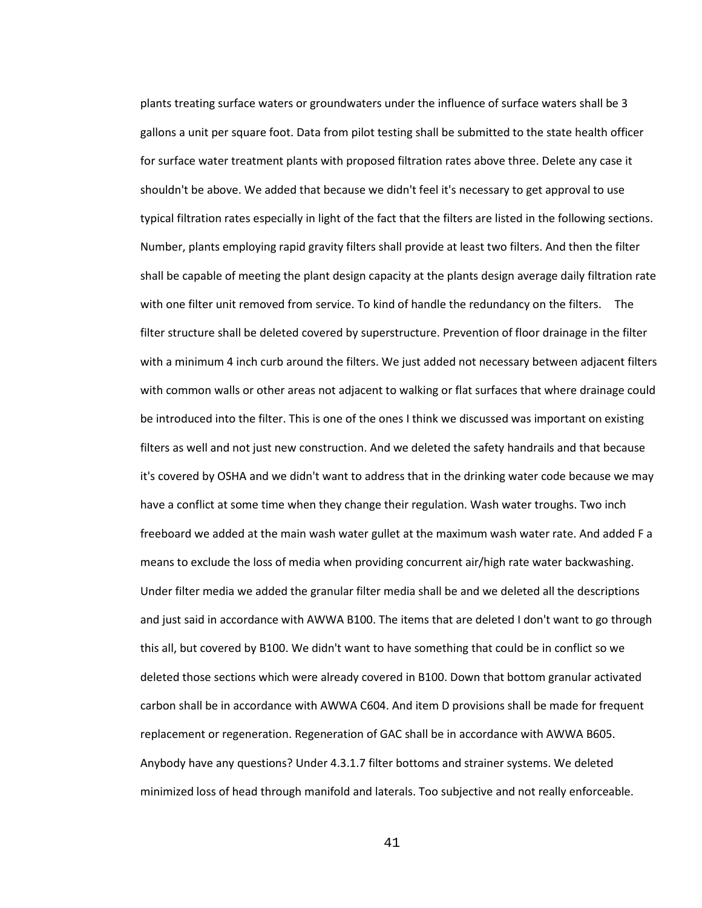plants treating surface waters or groundwaters under the influence of surface waters shall be 3 gallons a unit per square foot. Data from pilot testing shall be submitted to the state health officer for surface water treatment plants with proposed filtration rates above three. Delete any case it shouldn't be above. We added that because we didn't feel it's necessary to get approval to use typical filtration rates especially in light of the fact that the filters are listed in the following sections. Number, plants employing rapid gravity filters shall provide at least two filters. And then the filter shall be capable of meeting the plant design capacity at the plants design average daily filtration rate with one filter unit removed from service. To kind of handle the redundancy on the filters. The filter structure shall be deleted covered by superstructure. Prevention of floor drainage in the filter with a minimum 4 inch curb around the filters. We just added not necessary between adjacent filters with common walls or other areas not adjacent to walking or flat surfaces that where drainage could be introduced into the filter. This is one of the ones I think we discussed was important on existing filters as well and not just new construction. And we deleted the safety handrails and that because it's covered by OSHA and we didn't want to address that in the drinking water code because we may have a conflict at some time when they change their regulation. Wash water troughs. Two inch freeboard we added at the main wash water gullet at the maximum wash water rate. And added F a means to exclude the loss of media when providing concurrent air/high rate water backwashing. Under filter media we added the granular filter media shall be and we deleted all the descriptions and just said in accordance with AWWA B100. The items that are deleted I don't want to go through this all, but covered by B100. We didn't want to have something that could be in conflict so we deleted those sections which were already covered in B100. Down that bottom granular activated carbon shall be in accordance with AWWA C604. And item D provisions shall be made for frequent replacement or regeneration. Regeneration of GAC shall be in accordance with AWWA B605. Anybody have any questions? Under 4.3.1.7 filter bottoms and strainer systems. We deleted minimized loss of head through manifold and laterals. Too subjective and not really enforceable.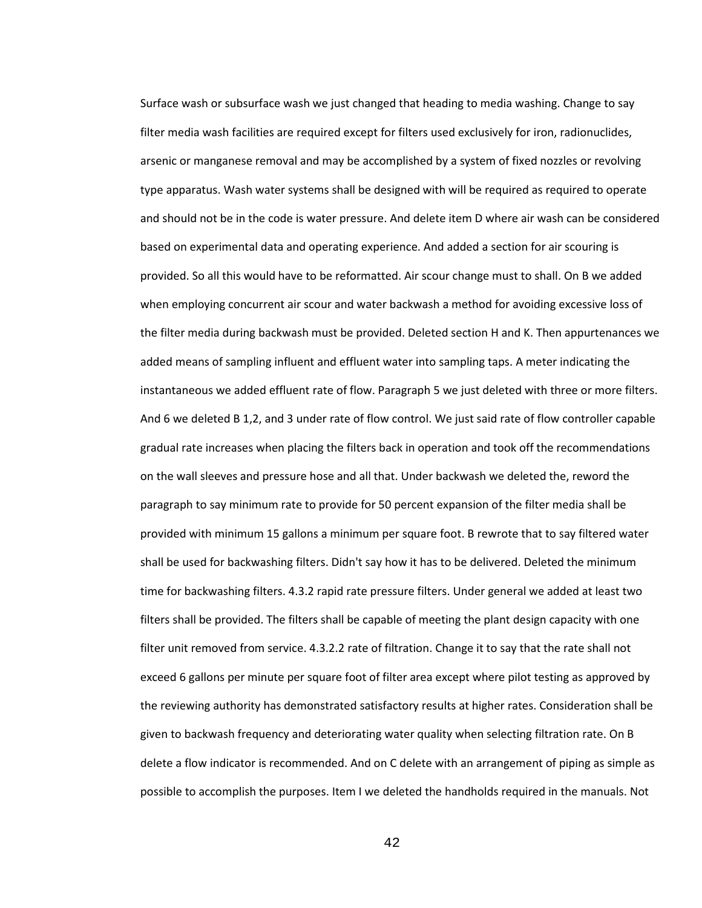Surface wash or subsurface wash we just changed that heading to media washing. Change to say filter media wash facilities are required except for filters used exclusively for iron, radionuclides, arsenic or manganese removal and may be accomplished by a system of fixed nozzles or revolving type apparatus. Wash water systems shall be designed with will be required as required to operate and should not be in the code is water pressure. And delete item D where air wash can be considered based on experimental data and operating experience. And added a section for air scouring is provided. So all this would have to be reformatted. Air scour change must to shall. On B we added when employing concurrent air scour and water backwash a method for avoiding excessive loss of the filter media during backwash must be provided. Deleted section H and K. Then appurtenances we added means of sampling influent and effluent water into sampling taps. A meter indicating the instantaneous we added effluent rate of flow. Paragraph 5 we just deleted with three or more filters. And 6 we deleted B 1,2, and 3 under rate of flow control. We just said rate of flow controller capable gradual rate increases when placing the filters back in operation and took off the recommendations on the wall sleeves and pressure hose and all that. Under backwash we deleted the, reword the paragraph to say minimum rate to provide for 50 percent expansion of the filter media shall be provided with minimum 15 gallons a minimum per square foot. B rewrote that to say filtered water shall be used for backwashing filters. Didn't say how it has to be delivered. Deleted the minimum time for backwashing filters. 4.3.2 rapid rate pressure filters. Under general we added at least two filters shall be provided. The filters shall be capable of meeting the plant design capacity with one filter unit removed from service. 4.3.2.2 rate of filtration. Change it to say that the rate shall not exceed 6 gallons per minute per square foot of filter area except where pilot testing as approved by the reviewing authority has demonstrated satisfactory results at higher rates. Consideration shall be given to backwash frequency and deteriorating water quality when selecting filtration rate. On B delete a flow indicator is recommended. And on C delete with an arrangement of piping as simple as possible to accomplish the purposes. Item I we deleted the handholds required in the manuals. Not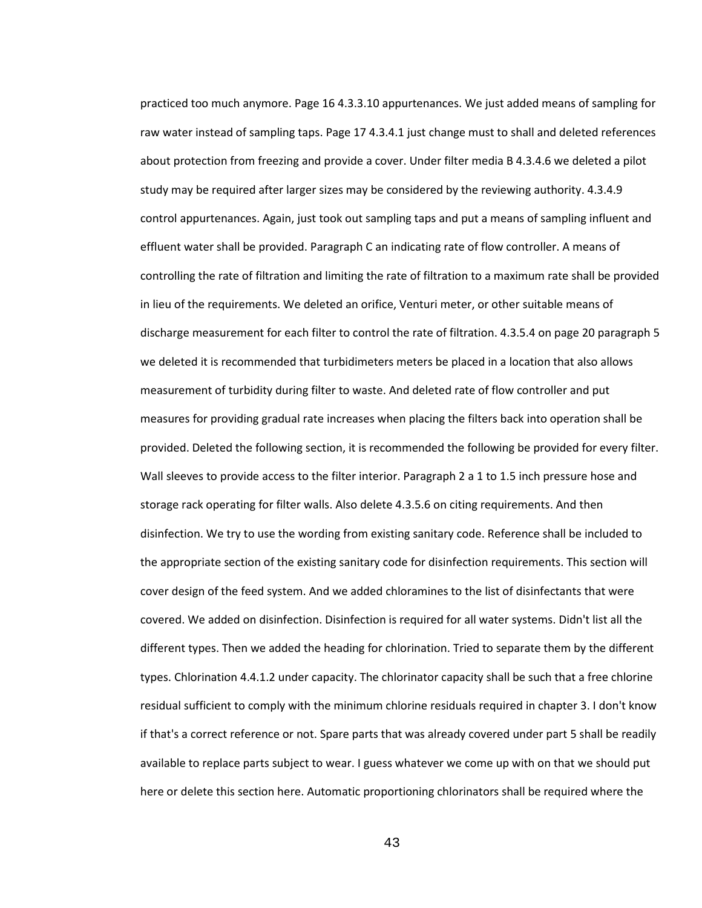practiced too much anymore. Page 16 4.3.3.10 appurtenances. We just added means of sampling for raw water instead of sampling taps. Page 17 4.3.4.1 just change must to shall and deleted references about protection from freezing and provide a cover. Under filter media B 4.3.4.6 we deleted a pilot study may be required after larger sizes may be considered by the reviewing authority. 4.3.4.9 control appurtenances. Again, just took out sampling taps and put a means of sampling influent and effluent water shall be provided. Paragraph C an indicating rate of flow controller. A means of controlling the rate of filtration and limiting the rate of filtration to a maximum rate shall be provided in lieu of the requirements. We deleted an orifice, Venturi meter, or other suitable means of discharge measurement for each filter to control the rate of filtration. 4.3.5.4 on page 20 paragraph 5 we deleted it is recommended that turbidimeters meters be placed in a location that also allows measurement of turbidity during filter to waste. And deleted rate of flow controller and put measures for providing gradual rate increases when placing the filters back into operation shall be provided. Deleted the following section, it is recommended the following be provided for every filter. Wall sleeves to provide access to the filter interior. Paragraph 2 a 1 to 1.5 inch pressure hose and storage rack operating for filter walls. Also delete 4.3.5.6 on citing requirements. And then disinfection. We try to use the wording from existing sanitary code. Reference shall be included to the appropriate section of the existing sanitary code for disinfection requirements. This section will cover design of the feed system. And we added chloramines to the list of disinfectants that were covered. We added on disinfection. Disinfection is required for all water systems. Didn't list all the different types. Then we added the heading for chlorination. Tried to separate them by the different types. Chlorination 4.4.1.2 under capacity. The chlorinator capacity shall be such that a free chlorine residual sufficient to comply with the minimum chlorine residuals required in chapter 3. I don't know if that's a correct reference or not. Spare parts that was already covered under part 5 shall be readily available to replace parts subject to wear. I guess whatever we come up with on that we should put here or delete this section here. Automatic proportioning chlorinators shall be required where the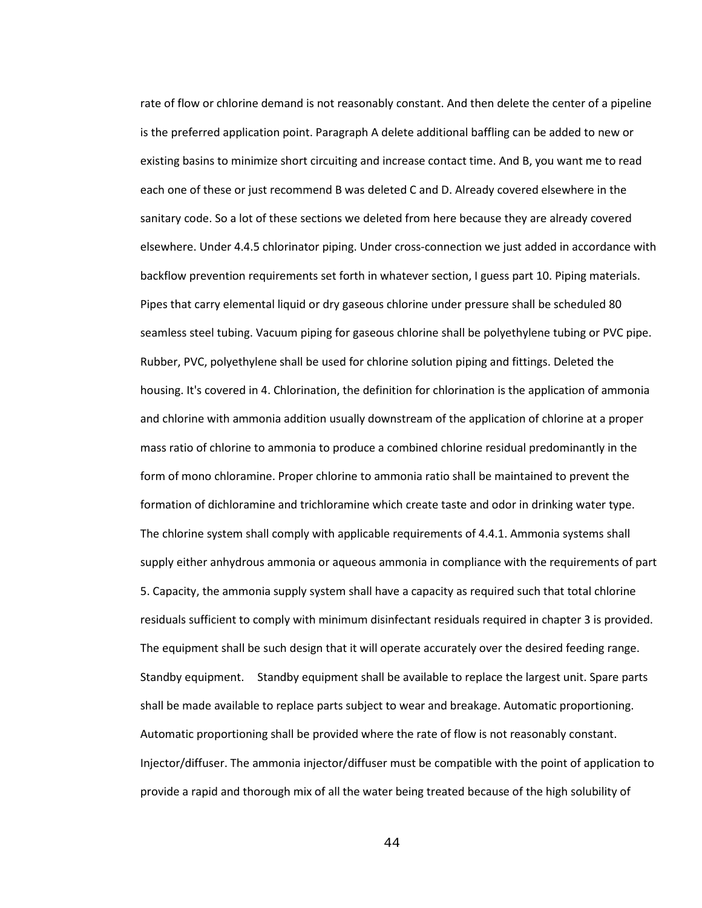rate of flow or chlorine demand is not reasonably constant. And then delete the center of a pipeline is the preferred application point. Paragraph A delete additional baffling can be added to new or existing basins to minimize short circuiting and increase contact time. And B, you want me to read each one of these or just recommend B was deleted C and D. Already covered elsewhere in the sanitary code. So a lot of these sections we deleted from here because they are already covered elsewhere. Under 4.4.5 chlorinator piping. Under cross-connection we just added in accordance with backflow prevention requirements set forth in whatever section, I guess part 10. Piping materials. Pipes that carry elemental liquid or dry gaseous chlorine under pressure shall be scheduled 80 seamless steel tubing. Vacuum piping for gaseous chlorine shall be polyethylene tubing or PVC pipe. Rubber, PVC, polyethylene shall be used for chlorine solution piping and fittings. Deleted the housing. It's covered in 4. Chlorination, the definition for chlorination is the application of ammonia and chlorine with ammonia addition usually downstream of the application of chlorine at a proper mass ratio of chlorine to ammonia to produce a combined chlorine residual predominantly in the form of mono chloramine. Proper chlorine to ammonia ratio shall be maintained to prevent the formation of dichloramine and trichloramine which create taste and odor in drinking water type. The chlorine system shall comply with applicable requirements of 4.4.1. Ammonia systems shall supply either anhydrous ammonia or aqueous ammonia in compliance with the requirements of part 5. Capacity, the ammonia supply system shall have a capacity as required such that total chlorine residuals sufficient to comply with minimum disinfectant residuals required in chapter 3 is provided. The equipment shall be such design that it will operate accurately over the desired feeding range. Standby equipment. Standby equipment shall be available to replace the largest unit. Spare parts shall be made available to replace parts subject to wear and breakage. Automatic proportioning. Automatic proportioning shall be provided where the rate of flow is not reasonably constant. Injector/diffuser. The ammonia injector/diffuser must be compatible with the point of application to provide a rapid and thorough mix of all the water being treated because of the high solubility of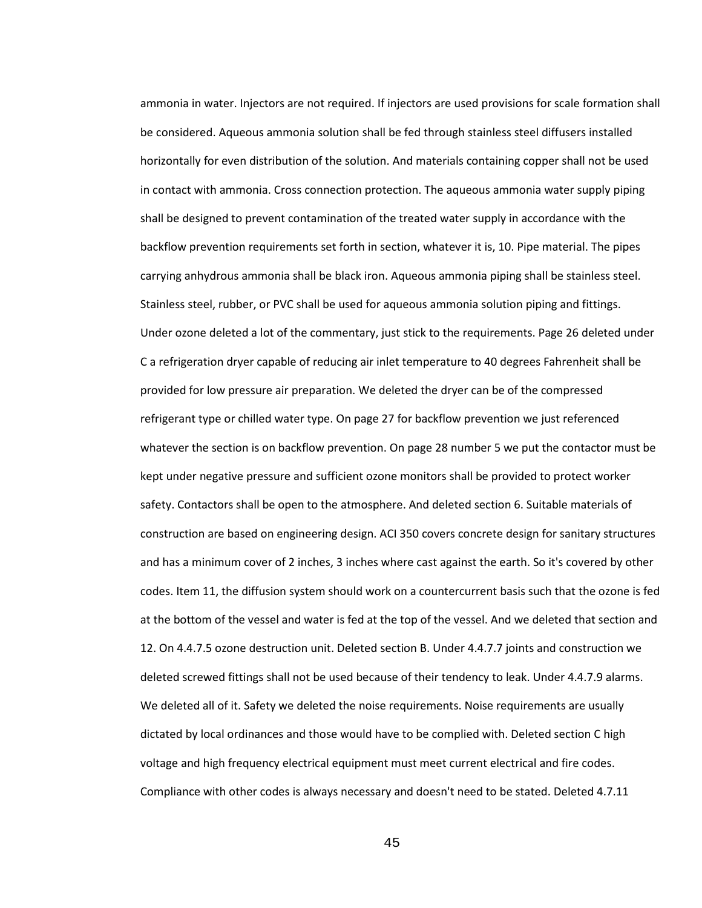ammonia in water. Injectors are not required. If injectors are used provisions for scale formation shall be considered. Aqueous ammonia solution shall be fed through stainless steel diffusers installed horizontally for even distribution of the solution. And materials containing copper shall not be used in contact with ammonia. Cross connection protection. The aqueous ammonia water supply piping shall be designed to prevent contamination of the treated water supply in accordance with the backflow prevention requirements set forth in section, whatever it is, 10. Pipe material. The pipes carrying anhydrous ammonia shall be black iron. Aqueous ammonia piping shall be stainless steel. Stainless steel, rubber, or PVC shall be used for aqueous ammonia solution piping and fittings. Under ozone deleted a lot of the commentary, just stick to the requirements. Page 26 deleted under C a refrigeration dryer capable of reducing air inlet temperature to 40 degrees Fahrenheit shall be provided for low pressure air preparation. We deleted the dryer can be of the compressed refrigerant type or chilled water type. On page 27 for backflow prevention we just referenced whatever the section is on backflow prevention. On page 28 number 5 we put the contactor must be kept under negative pressure and sufficient ozone monitors shall be provided to protect worker safety. Contactors shall be open to the atmosphere. And deleted section 6. Suitable materials of construction are based on engineering design. ACI 350 covers concrete design for sanitary structures and has a minimum cover of 2 inches, 3 inches where cast against the earth. So it's covered by other codes. Item 11, the diffusion system should work on a countercurrent basis such that the ozone is fed at the bottom of the vessel and water is fed at the top of the vessel. And we deleted that section and 12. On 4.4.7.5 ozone destruction unit. Deleted section B. Under 4.4.7.7 joints and construction we deleted screwed fittings shall not be used because of their tendency to leak. Under 4.4.7.9 alarms. We deleted all of it. Safety we deleted the noise requirements. Noise requirements are usually dictated by local ordinances and those would have to be complied with. Deleted section C high voltage and high frequency electrical equipment must meet current electrical and fire codes. Compliance with other codes is always necessary and doesn't need to be stated. Deleted 4.7.11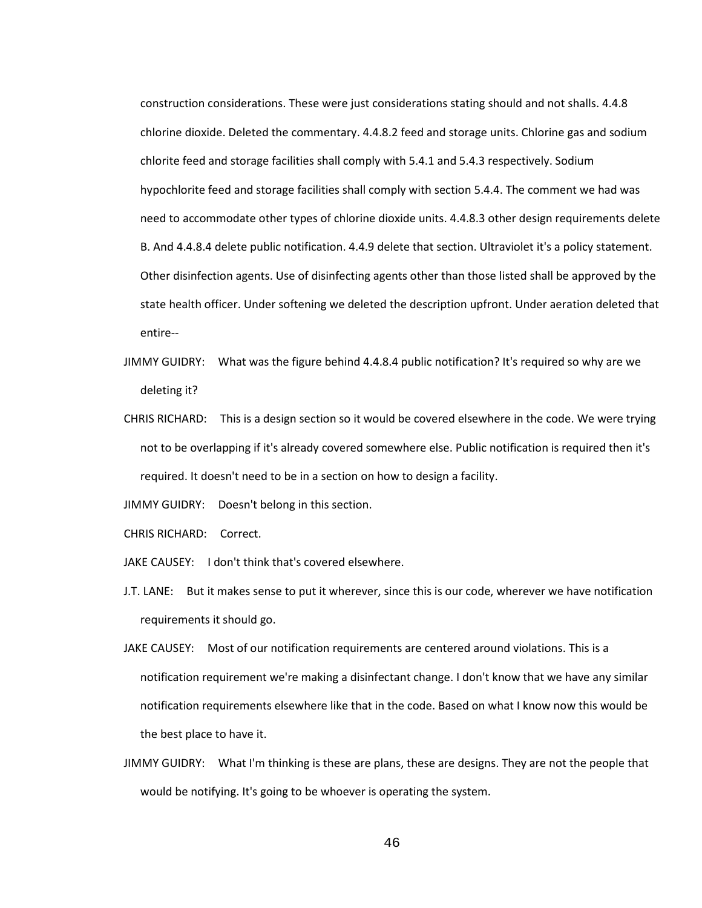construction considerations. These were just considerations stating should and not shalls. 4.4.8 chlorine dioxide. Deleted the commentary. 4.4.8.2 feed and storage units. Chlorine gas and sodium chlorite feed and storage facilities shall comply with 5.4.1 and 5.4.3 respectively. Sodium hypochlorite feed and storage facilities shall comply with section 5.4.4. The comment we had was need to accommodate other types of chlorine dioxide units. 4.4.8.3 other design requirements delete B. And 4.4.8.4 delete public notification. 4.4.9 delete that section. Ultraviolet it's a policy statement. Other disinfection agents. Use of disinfecting agents other than those listed shall be approved by the state health officer. Under softening we deleted the description upfront. Under aeration deleted that entire--

- JIMMY GUIDRY: What was the figure behind 4.4.8.4 public notification? It's required so why are we deleting it?
- CHRIS RICHARD: This is a design section so it would be covered elsewhere in the code. We were trying not to be overlapping if it's already covered somewhere else. Public notification is required then it's required. It doesn't need to be in a section on how to design a facility.

JIMMY GUIDRY: Doesn't belong in this section.

CHRIS RICHARD: Correct.

JAKE CAUSEY: I don't think that's covered elsewhere.

- J.T. LANE: But it makes sense to put it wherever, since this is our code, wherever we have notification requirements it should go.
- JAKE CAUSEY: Most of our notification requirements are centered around violations. This is a notification requirement we're making a disinfectant change. I don't know that we have any similar notification requirements elsewhere like that in the code. Based on what I know now this would be the best place to have it.
- JIMMY GUIDRY: What I'm thinking is these are plans, these are designs. They are not the people that would be notifying. It's going to be whoever is operating the system.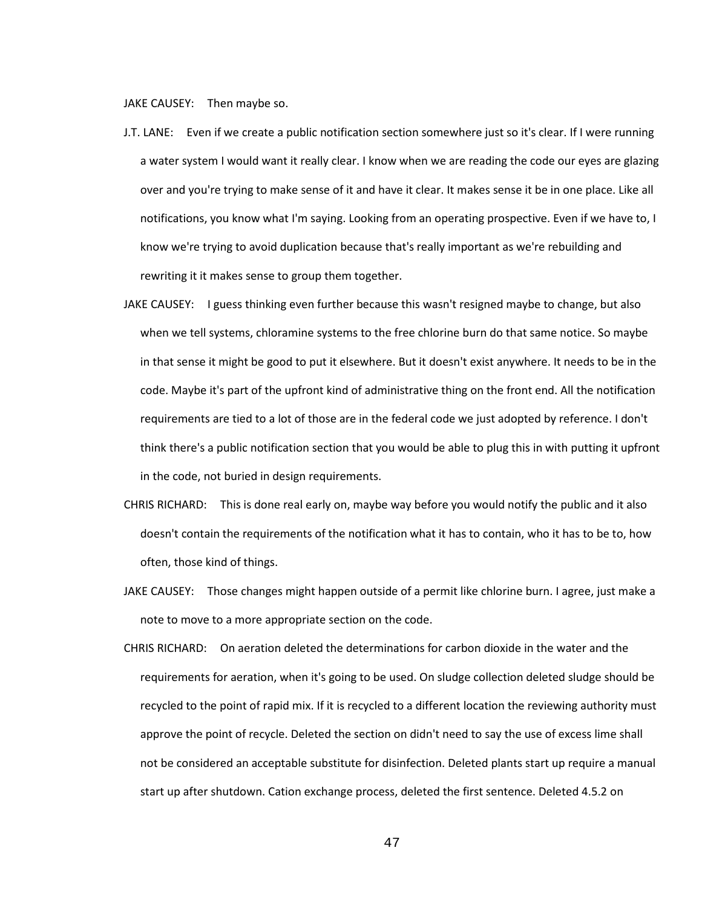JAKE CAUSEY: Then maybe so.

- J.T. LANE: Even if we create a public notification section somewhere just so it's clear. If I were running a water system I would want it really clear. I know when we are reading the code our eyes are glazing over and you're trying to make sense of it and have it clear. It makes sense it be in one place. Like all notifications, you know what I'm saying. Looking from an operating prospective. Even if we have to, I know we're trying to avoid duplication because that's really important as we're rebuilding and rewriting it it makes sense to group them together.
- JAKE CAUSEY: I guess thinking even further because this wasn't resigned maybe to change, but also when we tell systems, chloramine systems to the free chlorine burn do that same notice. So maybe in that sense it might be good to put it elsewhere. But it doesn't exist anywhere. It needs to be in the code. Maybe it's part of the upfront kind of administrative thing on the front end. All the notification requirements are tied to a lot of those are in the federal code we just adopted by reference. I don't think there's a public notification section that you would be able to plug this in with putting it upfront in the code, not buried in design requirements.
- CHRIS RICHARD: This is done real early on, maybe way before you would notify the public and it also doesn't contain the requirements of the notification what it has to contain, who it has to be to, how often, those kind of things.
- JAKE CAUSEY: Those changes might happen outside of a permit like chlorine burn. I agree, just make a note to move to a more appropriate section on the code.
- CHRIS RICHARD: On aeration deleted the determinations for carbon dioxide in the water and the requirements for aeration, when it's going to be used. On sludge collection deleted sludge should be recycled to the point of rapid mix. If it is recycled to a different location the reviewing authority must approve the point of recycle. Deleted the section on didn't need to say the use of excess lime shall not be considered an acceptable substitute for disinfection. Deleted plants start up require a manual start up after shutdown. Cation exchange process, deleted the first sentence. Deleted 4.5.2 on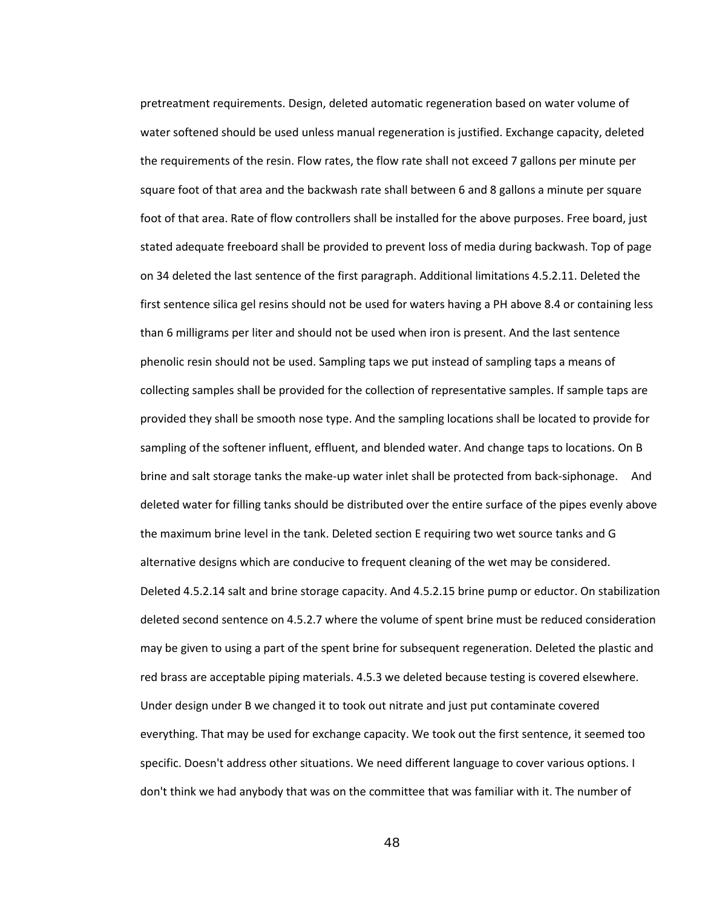pretreatment requirements. Design, deleted automatic regeneration based on water volume of water softened should be used unless manual regeneration is justified. Exchange capacity, deleted the requirements of the resin. Flow rates, the flow rate shall not exceed 7 gallons per minute per square foot of that area and the backwash rate shall between 6 and 8 gallons a minute per square foot of that area. Rate of flow controllers shall be installed for the above purposes. Free board, just stated adequate freeboard shall be provided to prevent loss of media during backwash. Top of page on 34 deleted the last sentence of the first paragraph. Additional limitations 4.5.2.11. Deleted the first sentence silica gel resins should not be used for waters having a PH above 8.4 or containing less than 6 milligrams per liter and should not be used when iron is present. And the last sentence phenolic resin should not be used. Sampling taps we put instead of sampling taps a means of collecting samples shall be provided for the collection of representative samples. If sample taps are provided they shall be smooth nose type. And the sampling locations shall be located to provide for sampling of the softener influent, effluent, and blended water. And change taps to locations. On B brine and salt storage tanks the make-up water inlet shall be protected from back-siphonage. And deleted water for filling tanks should be distributed over the entire surface of the pipes evenly above the maximum brine level in the tank. Deleted section E requiring two wet source tanks and G alternative designs which are conducive to frequent cleaning of the wet may be considered. Deleted 4.5.2.14 salt and brine storage capacity. And 4.5.2.15 brine pump or eductor. On stabilization deleted second sentence on 4.5.2.7 where the volume of spent brine must be reduced consideration may be given to using a part of the spent brine for subsequent regeneration. Deleted the plastic and red brass are acceptable piping materials. 4.5.3 we deleted because testing is covered elsewhere. Under design under B we changed it to took out nitrate and just put contaminate covered everything. That may be used for exchange capacity. We took out the first sentence, it seemed too specific. Doesn't address other situations. We need different language to cover various options. I don't think we had anybody that was on the committee that was familiar with it. The number of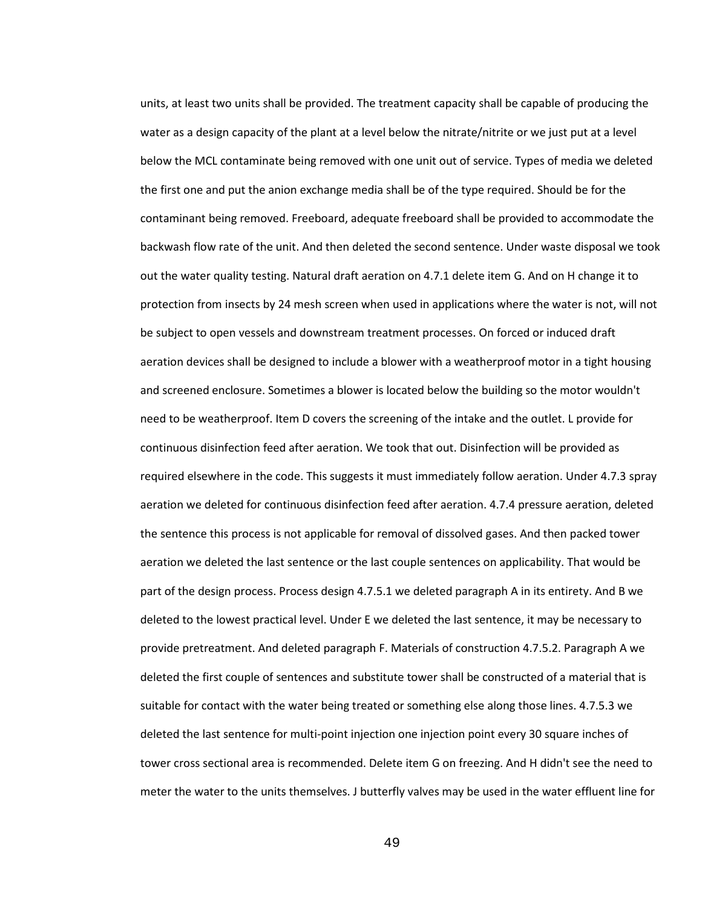units, at least two units shall be provided. The treatment capacity shall be capable of producing the water as a design capacity of the plant at a level below the nitrate/nitrite or we just put at a level below the MCL contaminate being removed with one unit out of service. Types of media we deleted the first one and put the anion exchange media shall be of the type required. Should be for the contaminant being removed. Freeboard, adequate freeboard shall be provided to accommodate the backwash flow rate of the unit. And then deleted the second sentence. Under waste disposal we took out the water quality testing. Natural draft aeration on 4.7.1 delete item G. And on H change it to protection from insects by 24 mesh screen when used in applications where the water is not, will not be subject to open vessels and downstream treatment processes. On forced or induced draft aeration devices shall be designed to include a blower with a weatherproof motor in a tight housing and screened enclosure. Sometimes a blower is located below the building so the motor wouldn't need to be weatherproof. Item D covers the screening of the intake and the outlet. L provide for continuous disinfection feed after aeration. We took that out. Disinfection will be provided as required elsewhere in the code. This suggests it must immediately follow aeration. Under 4.7.3 spray aeration we deleted for continuous disinfection feed after aeration. 4.7.4 pressure aeration, deleted the sentence this process is not applicable for removal of dissolved gases. And then packed tower aeration we deleted the last sentence or the last couple sentences on applicability. That would be part of the design process. Process design 4.7.5.1 we deleted paragraph A in its entirety. And B we deleted to the lowest practical level. Under E we deleted the last sentence, it may be necessary to provide pretreatment. And deleted paragraph F. Materials of construction 4.7.5.2. Paragraph A we deleted the first couple of sentences and substitute tower shall be constructed of a material that is suitable for contact with the water being treated or something else along those lines. 4.7.5.3 we deleted the last sentence for multi-point injection one injection point every 30 square inches of tower cross sectional area is recommended. Delete item G on freezing. And H didn't see the need to meter the water to the units themselves. J butterfly valves may be used in the water effluent line for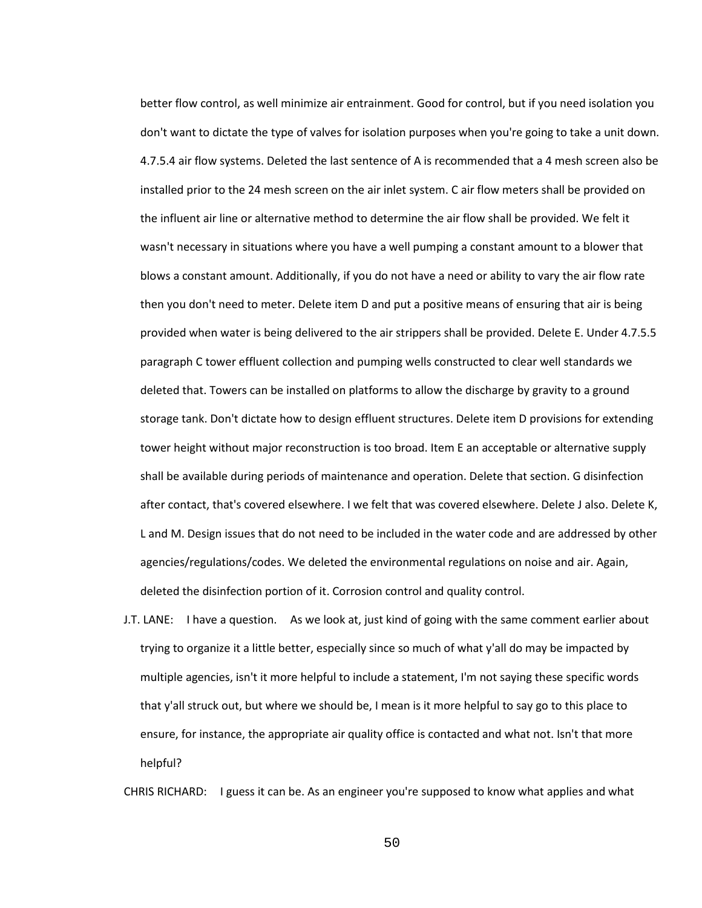better flow control, as well minimize air entrainment. Good for control, but if you need isolation you don't want to dictate the type of valves for isolation purposes when you're going to take a unit down. 4.7.5.4 air flow systems. Deleted the last sentence of A is recommended that a 4 mesh screen also be installed prior to the 24 mesh screen on the air inlet system. C air flow meters shall be provided on the influent air line or alternative method to determine the air flow shall be provided. We felt it wasn't necessary in situations where you have a well pumping a constant amount to a blower that blows a constant amount. Additionally, if you do not have a need or ability to vary the air flow rate then you don't need to meter. Delete item D and put a positive means of ensuring that air is being provided when water is being delivered to the air strippers shall be provided. Delete E. Under 4.7.5.5 paragraph C tower effluent collection and pumping wells constructed to clear well standards we deleted that. Towers can be installed on platforms to allow the discharge by gravity to a ground storage tank. Don't dictate how to design effluent structures. Delete item D provisions for extending tower height without major reconstruction is too broad. Item E an acceptable or alternative supply shall be available during periods of maintenance and operation. Delete that section. G disinfection after contact, that's covered elsewhere. I we felt that was covered elsewhere. Delete J also. Delete K, L and M. Design issues that do not need to be included in the water code and are addressed by other agencies/regulations/codes. We deleted the environmental regulations on noise and air. Again, deleted the disinfection portion of it. Corrosion control and quality control.

J.T. LANE: I have a question. As we look at, just kind of going with the same comment earlier about trying to organize it a little better, especially since so much of what y'all do may be impacted by multiple agencies, isn't it more helpful to include a statement, I'm not saying these specific words that y'all struck out, but where we should be, I mean is it more helpful to say go to this place to ensure, for instance, the appropriate air quality office is contacted and what not. Isn't that more helpful?

CHRIS RICHARD: I guess it can be. As an engineer you're supposed to know what applies and what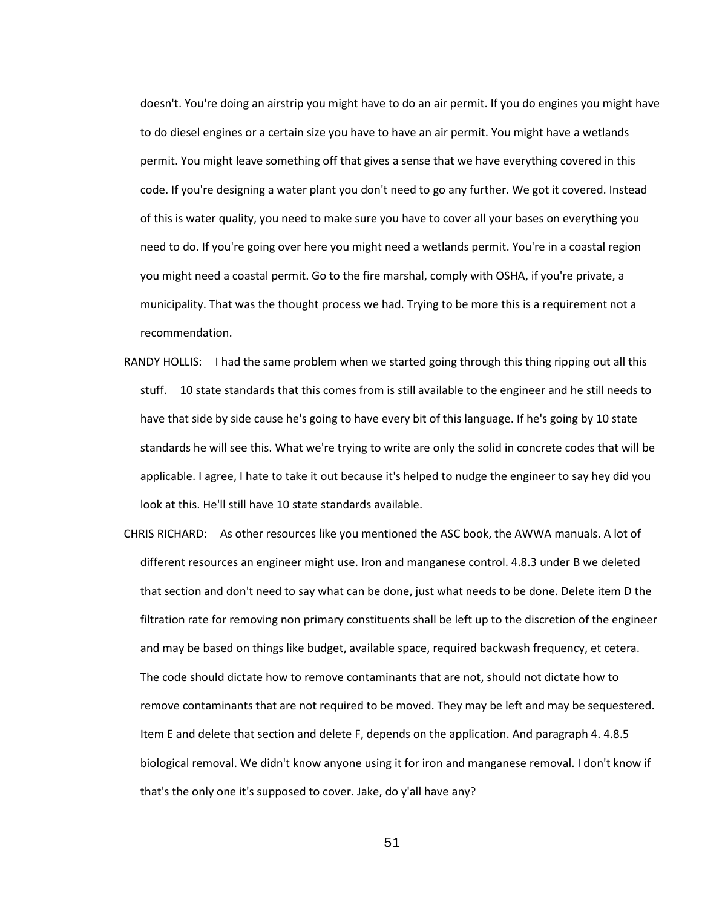doesn't. You're doing an airstrip you might have to do an air permit. If you do engines you might have to do diesel engines or a certain size you have to have an air permit. You might have a wetlands permit. You might leave something off that gives a sense that we have everything covered in this code. If you're designing a water plant you don't need to go any further. We got it covered. Instead of this is water quality, you need to make sure you have to cover all your bases on everything you need to do. If you're going over here you might need a wetlands permit. You're in a coastal region you might need a coastal permit. Go to the fire marshal, comply with OSHA, if you're private, a municipality. That was the thought process we had. Trying to be more this is a requirement not a recommendation.

- RANDY HOLLIS: I had the same problem when we started going through this thing ripping out all this stuff. 10 state standards that this comes from is still available to the engineer and he still needs to have that side by side cause he's going to have every bit of this language. If he's going by 10 state standards he will see this. What we're trying to write are only the solid in concrete codes that will be applicable. I agree, I hate to take it out because it's helped to nudge the engineer to say hey did you look at this. He'll still have 10 state standards available.
- CHRIS RICHARD: As other resources like you mentioned the ASC book, the AWWA manuals. A lot of different resources an engineer might use. Iron and manganese control. 4.8.3 under B we deleted that section and don't need to say what can be done, just what needs to be done. Delete item D the filtration rate for removing non primary constituents shall be left up to the discretion of the engineer and may be based on things like budget, available space, required backwash frequency, et cetera. The code should dictate how to remove contaminants that are not, should not dictate how to remove contaminants that are not required to be moved. They may be left and may be sequestered. Item E and delete that section and delete F, depends on the application. And paragraph 4. 4.8.5 biological removal. We didn't know anyone using it for iron and manganese removal. I don't know if that's the only one it's supposed to cover. Jake, do y'all have any?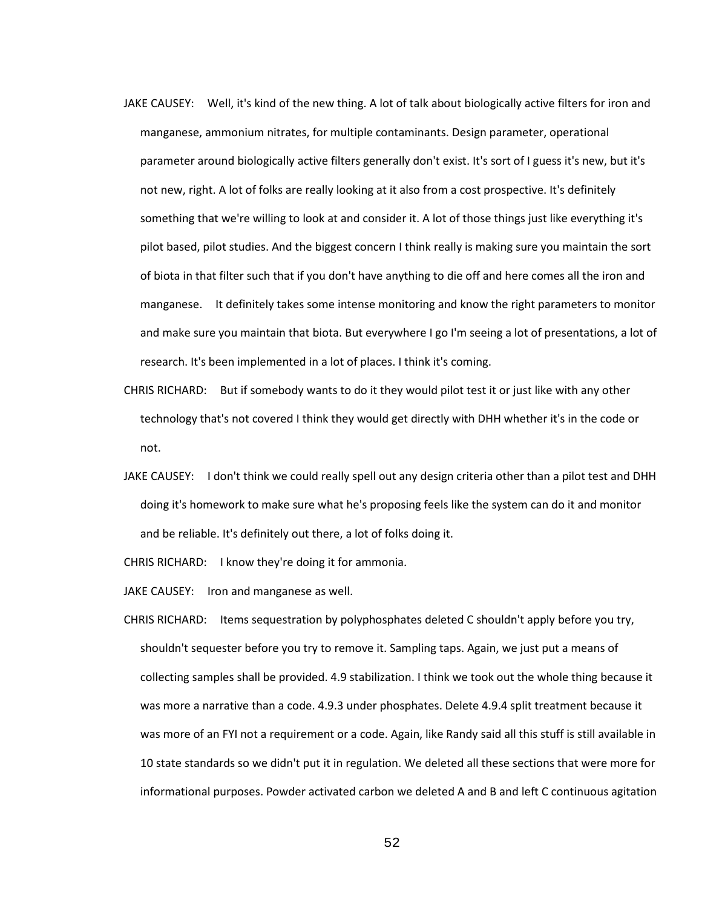- JAKE CAUSEY: Well, it's kind of the new thing. A lot of talk about biologically active filters for iron and manganese, ammonium nitrates, for multiple contaminants. Design parameter, operational parameter around biologically active filters generally don't exist. It's sort of I guess it's new, but it's not new, right. A lot of folks are really looking at it also from a cost prospective. It's definitely something that we're willing to look at and consider it. A lot of those things just like everything it's pilot based, pilot studies. And the biggest concern I think really is making sure you maintain the sort of biota in that filter such that if you don't have anything to die off and here comes all the iron and manganese. It definitely takes some intense monitoring and know the right parameters to monitor and make sure you maintain that biota. But everywhere I go I'm seeing a lot of presentations, a lot of research. It's been implemented in a lot of places. I think it's coming.
- CHRIS RICHARD: But if somebody wants to do it they would pilot test it or just like with any other technology that's not covered I think they would get directly with DHH whether it's in the code or not.
- JAKE CAUSEY: I don't think we could really spell out any design criteria other than a pilot test and DHH doing it's homework to make sure what he's proposing feels like the system can do it and monitor and be reliable. It's definitely out there, a lot of folks doing it.

CHRIS RICHARD: I know they're doing it for ammonia.

JAKE CAUSEY: Iron and manganese as well.

CHRIS RICHARD: Items sequestration by polyphosphates deleted C shouldn't apply before you try, shouldn't sequester before you try to remove it. Sampling taps. Again, we just put a means of collecting samples shall be provided. 4.9 stabilization. I think we took out the whole thing because it was more a narrative than a code. 4.9.3 under phosphates. Delete 4.9.4 split treatment because it was more of an FYI not a requirement or a code. Again, like Randy said all this stuff is still available in 10 state standards so we didn't put it in regulation. We deleted all these sections that were more for informational purposes. Powder activated carbon we deleted A and B and left C continuous agitation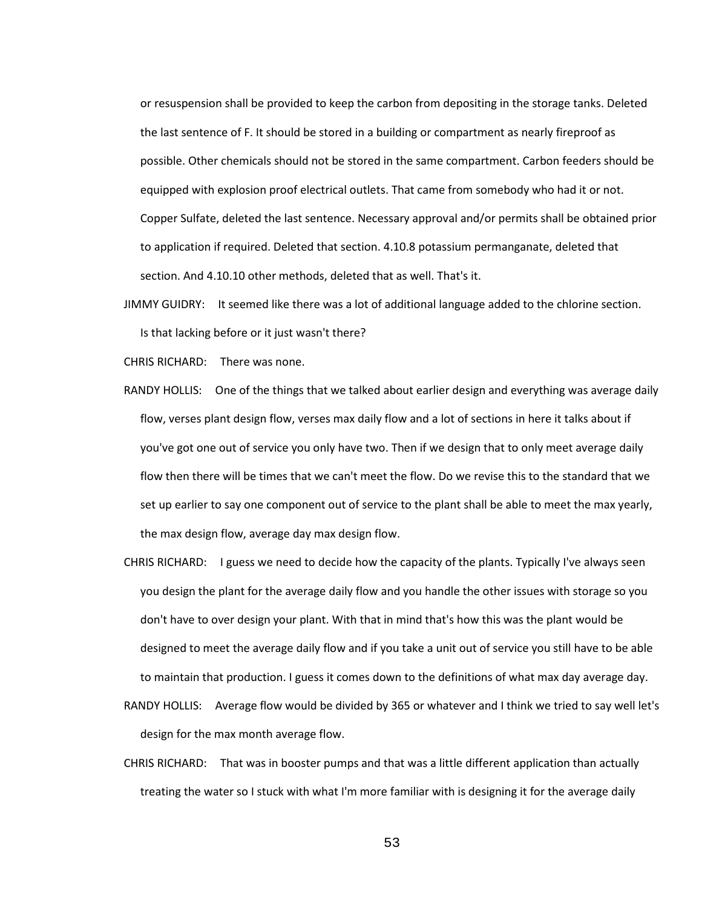or resuspension shall be provided to keep the carbon from depositing in the storage tanks. Deleted the last sentence of F. It should be stored in a building or compartment as nearly fireproof as possible. Other chemicals should not be stored in the same compartment. Carbon feeders should be equipped with explosion proof electrical outlets. That came from somebody who had it or not. Copper Sulfate, deleted the last sentence. Necessary approval and/or permits shall be obtained prior to application if required. Deleted that section. 4.10.8 potassium permanganate, deleted that section. And 4.10.10 other methods, deleted that as well. That's it.

JIMMY GUIDRY: It seemed like there was a lot of additional language added to the chlorine section. Is that lacking before or it just wasn't there?

CHRIS RICHARD: There was none.

- RANDY HOLLIS: One of the things that we talked about earlier design and everything was average daily flow, verses plant design flow, verses max daily flow and a lot of sections in here it talks about if you've got one out of service you only have two. Then if we design that to only meet average daily flow then there will be times that we can't meet the flow. Do we revise this to the standard that we set up earlier to say one component out of service to the plant shall be able to meet the max yearly, the max design flow, average day max design flow.
- CHRIS RICHARD: I guess we need to decide how the capacity of the plants. Typically I've always seen you design the plant for the average daily flow and you handle the other issues with storage so you don't have to over design your plant. With that in mind that's how this was the plant would be designed to meet the average daily flow and if you take a unit out of service you still have to be able to maintain that production. I guess it comes down to the definitions of what max day average day.
- RANDY HOLLIS: Average flow would be divided by 365 or whatever and I think we tried to say well let's design for the max month average flow.
- CHRIS RICHARD: That was in booster pumps and that was a little different application than actually treating the water so I stuck with what I'm more familiar with is designing it for the average daily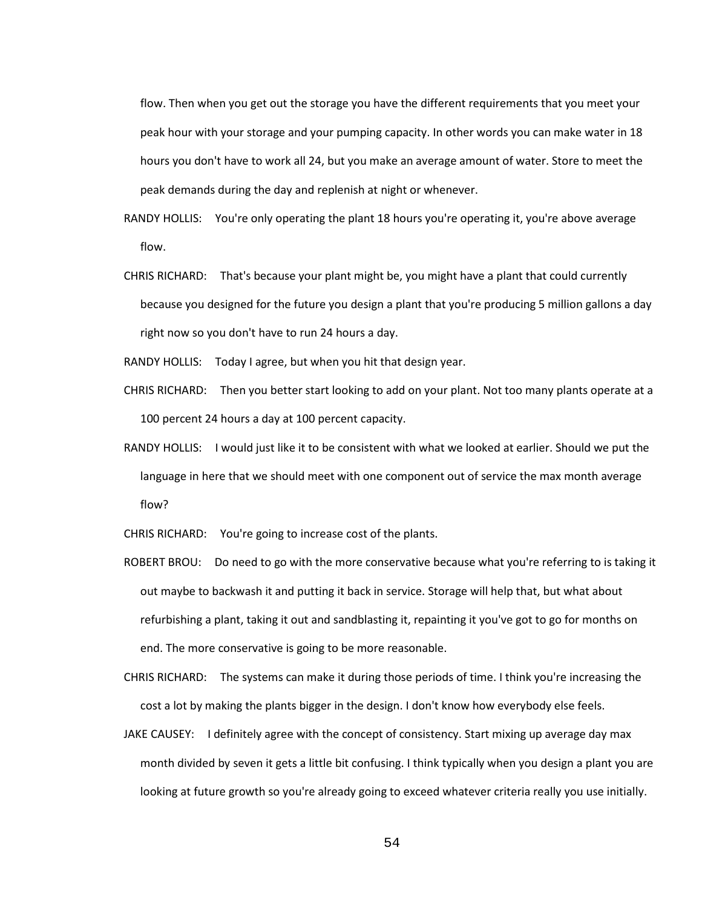flow. Then when you get out the storage you have the different requirements that you meet your peak hour with your storage and your pumping capacity. In other words you can make water in 18 hours you don't have to work all 24, but you make an average amount of water. Store to meet the peak demands during the day and replenish at night or whenever.

- RANDY HOLLIS: You're only operating the plant 18 hours you're operating it, you're above average flow.
- CHRIS RICHARD: That's because your plant might be, you might have a plant that could currently because you designed for the future you design a plant that you're producing 5 million gallons a day right now so you don't have to run 24 hours a day.

RANDY HOLLIS: Today I agree, but when you hit that design year.

- CHRIS RICHARD: Then you better start looking to add on your plant. Not too many plants operate at a 100 percent 24 hours a day at 100 percent capacity.
- RANDY HOLLIS: I would just like it to be consistent with what we looked at earlier. Should we put the language in here that we should meet with one component out of service the max month average flow?

CHRIS RICHARD: You're going to increase cost of the plants.

ROBERT BROU: Do need to go with the more conservative because what you're referring to is taking it out maybe to backwash it and putting it back in service. Storage will help that, but what about refurbishing a plant, taking it out and sandblasting it, repainting it you've got to go for months on end. The more conservative is going to be more reasonable.

CHRIS RICHARD: The systems can make it during those periods of time. I think you're increasing the cost a lot by making the plants bigger in the design. I don't know how everybody else feels.

JAKE CAUSEY: I definitely agree with the concept of consistency. Start mixing up average day max month divided by seven it gets a little bit confusing. I think typically when you design a plant you are looking at future growth so you're already going to exceed whatever criteria really you use initially.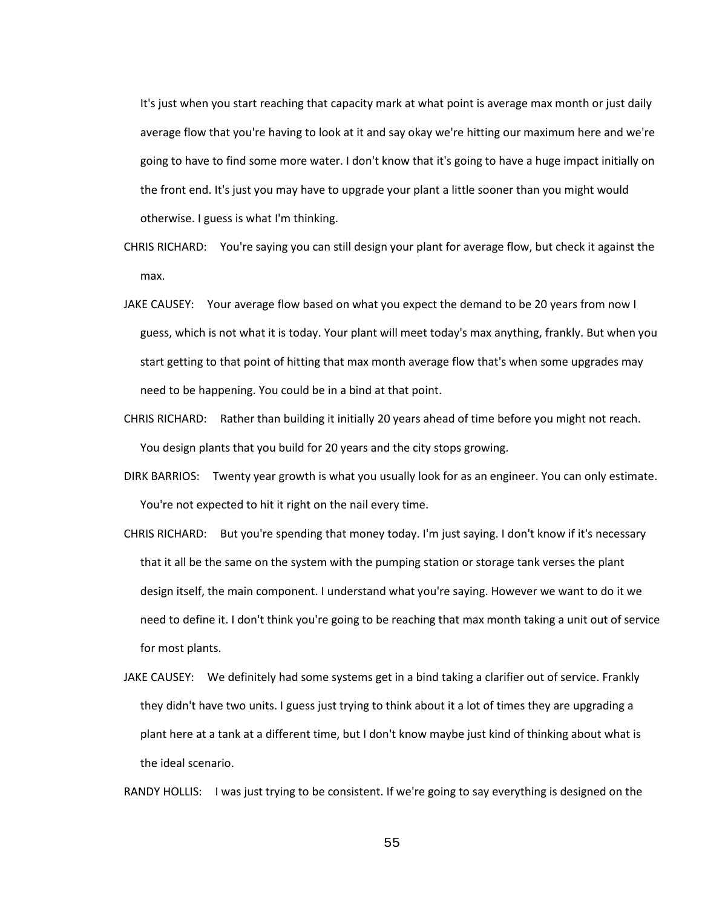It's just when you start reaching that capacity mark at what point is average max month or just daily average flow that you're having to look at it and say okay we're hitting our maximum here and we're going to have to find some more water. I don't know that it's going to have a huge impact initially on the front end. It's just you may have to upgrade your plant a little sooner than you might would otherwise. I guess is what I'm thinking.

- CHRIS RICHARD: You're saying you can still design your plant for average flow, but check it against the max.
- JAKE CAUSEY: Your average flow based on what you expect the demand to be 20 years from now I guess, which is not what it is today. Your plant will meet today's max anything, frankly. But when you start getting to that point of hitting that max month average flow that's when some upgrades may need to be happening. You could be in a bind at that point.
- CHRIS RICHARD: Rather than building it initially 20 years ahead of time before you might not reach. You design plants that you build for 20 years and the city stops growing.
- DIRK BARRIOS: Twenty year growth is what you usually look for as an engineer. You can only estimate. You're not expected to hit it right on the nail every time.
- CHRIS RICHARD: But you're spending that money today. I'm just saying. I don't know if it's necessary that it all be the same on the system with the pumping station or storage tank verses the plant design itself, the main component. I understand what you're saying. However we want to do it we need to define it. I don't think you're going to be reaching that max month taking a unit out of service for most plants.
- JAKE CAUSEY: We definitely had some systems get in a bind taking a clarifier out of service. Frankly they didn't have two units. I guess just trying to think about it a lot of times they are upgrading a plant here at a tank at a different time, but I don't know maybe just kind of thinking about what is the ideal scenario.

RANDY HOLLIS: I was just trying to be consistent. If we're going to say everything is designed on the